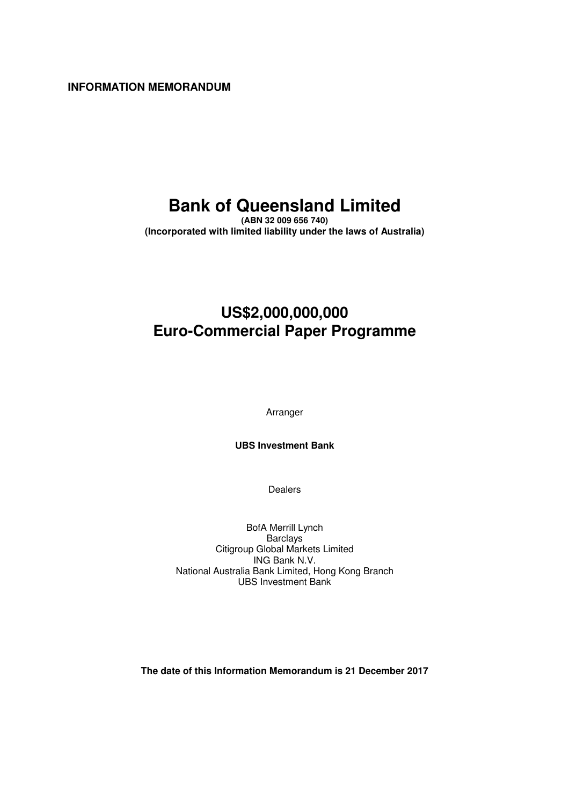**INFORMATION MEMORANDUM** 

# **Bank of Queensland Limited**

**(ABN 32 009 656 740) (Incorporated with limited liability under the laws of Australia)** 

## **US\$2,000,000,000 Euro-Commercial Paper Programme**

Arranger

**UBS Investment Bank** 

Dealers

BofA Merrill Lynch Barclays Citigroup Global Markets Limited ING Bank N.V. National Australia Bank Limited, Hong Kong Branch UBS Investment Bank

**The date of this Information Memorandum is 21 December 2017**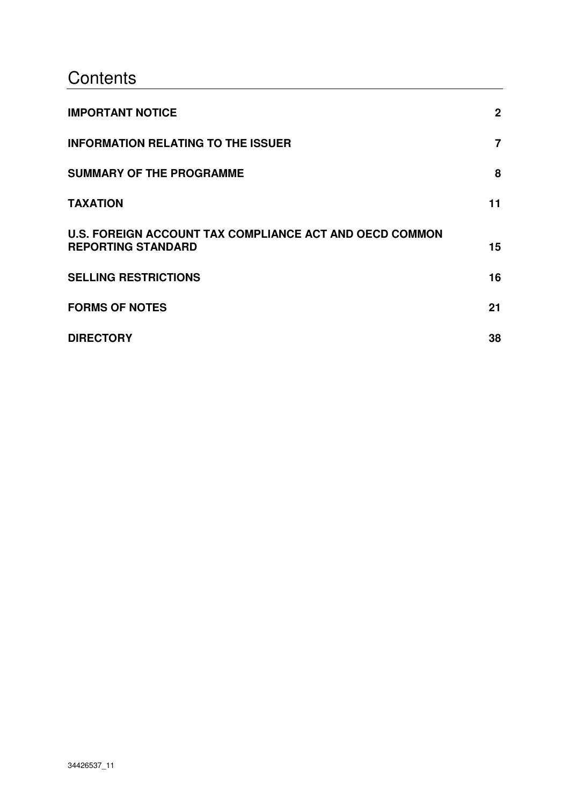# **Contents**

| <b>IMPORTANT NOTICE</b>                                                                     | $\mathbf{2}$   |
|---------------------------------------------------------------------------------------------|----------------|
| <b>INFORMATION RELATING TO THE ISSUER</b>                                                   | $\overline{7}$ |
| <b>SUMMARY OF THE PROGRAMME</b>                                                             | 8              |
| <b>TAXATION</b>                                                                             | 11             |
| <b>U.S. FOREIGN ACCOUNT TAX COMPLIANCE ACT AND OECD COMMON</b><br><b>REPORTING STANDARD</b> | 15             |
| <b>SELLING RESTRICTIONS</b>                                                                 | 16             |
| <b>FORMS OF NOTES</b>                                                                       | 21             |
| <b>DIRECTORY</b>                                                                            | 38             |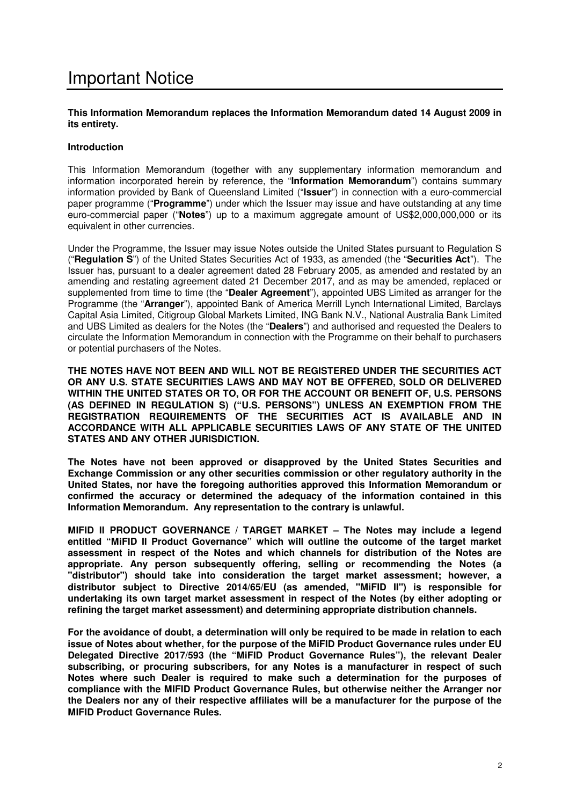## Important Notice

### **This Information Memorandum replaces the Information Memorandum dated 14 August 2009 in its entirety.**

### **Introduction**

This Information Memorandum (together with any supplementary information memorandum and information incorporated herein by reference, the "**Information Memorandum**") contains summary information provided by Bank of Queensland Limited ("**Issuer**") in connection with a euro-commercial paper programme ("**Programme**") under which the Issuer may issue and have outstanding at any time euro-commercial paper ("**Notes**") up to a maximum aggregate amount of US\$2,000,000,000 or its equivalent in other currencies.

Under the Programme, the Issuer may issue Notes outside the United States pursuant to Regulation S ("**Regulation S**") of the United States Securities Act of 1933, as amended (the "**Securities Act**"). The Issuer has, pursuant to a dealer agreement dated 28 February 2005, as amended and restated by an amending and restating agreement dated 21 December 2017, and as may be amended, replaced or supplemented from time to time (the "**Dealer Agreement**"), appointed UBS Limited as arranger for the Programme (the "**Arranger**"), appointed Bank of America Merrill Lynch International Limited, Barclays Capital Asia Limited, Citigroup Global Markets Limited, ING Bank N.V., National Australia Bank Limited and UBS Limited as dealers for the Notes (the "**Dealers**") and authorised and requested the Dealers to circulate the Information Memorandum in connection with the Programme on their behalf to purchasers or potential purchasers of the Notes.

**THE NOTES HAVE NOT BEEN AND WILL NOT BE REGISTERED UNDER THE SECURITIES ACT OR ANY U.S. STATE SECURITIES LAWS AND MAY NOT BE OFFERED, SOLD OR DELIVERED WITHIN THE UNITED STATES OR TO, OR FOR THE ACCOUNT OR BENEFIT OF, U.S. PERSONS (AS DEFINED IN REGULATION S) ("U.S. PERSONS") UNLESS AN EXEMPTION FROM THE REGISTRATION REQUIREMENTS OF THE SECURITIES ACT IS AVAILABLE AND IN ACCORDANCE WITH ALL APPLICABLE SECURITIES LAWS OF ANY STATE OF THE UNITED STATES AND ANY OTHER JURISDICTION.** 

**The Notes have not been approved or disapproved by the United States Securities and Exchange Commission or any other securities commission or other regulatory authority in the United States, nor have the foregoing authorities approved this Information Memorandum or confirmed the accuracy or determined the adequacy of the information contained in this Information Memorandum. Any representation to the contrary is unlawful.** 

**MIFID II PRODUCT GOVERNANCE / TARGET MARKET – The Notes may include a legend entitled "MiFID II Product Governance" which will outline the outcome of the target market assessment in respect of the Notes and which channels for distribution of the Notes are appropriate. Any person subsequently offering, selling or recommending the Notes (a "distributor") should take into consideration the target market assessment; however, a distributor subject to Directive 2014/65/EU (as amended, "MiFID II") is responsible for undertaking its own target market assessment in respect of the Notes (by either adopting or refining the target market assessment) and determining appropriate distribution channels.** 

**For the avoidance of doubt, a determination will only be required to be made in relation to each issue of Notes about whether, for the purpose of the MiFID Product Governance rules under EU Delegated Directive 2017/593 (the "MiFID Product Governance Rules"), the relevant Dealer subscribing, or procuring subscribers, for any Notes is a manufacturer in respect of such Notes where such Dealer is required to make such a determination for the purposes of compliance with the MIFID Product Governance Rules, but otherwise neither the Arranger nor the Dealers nor any of their respective affiliates will be a manufacturer for the purpose of the MIFID Product Governance Rules.**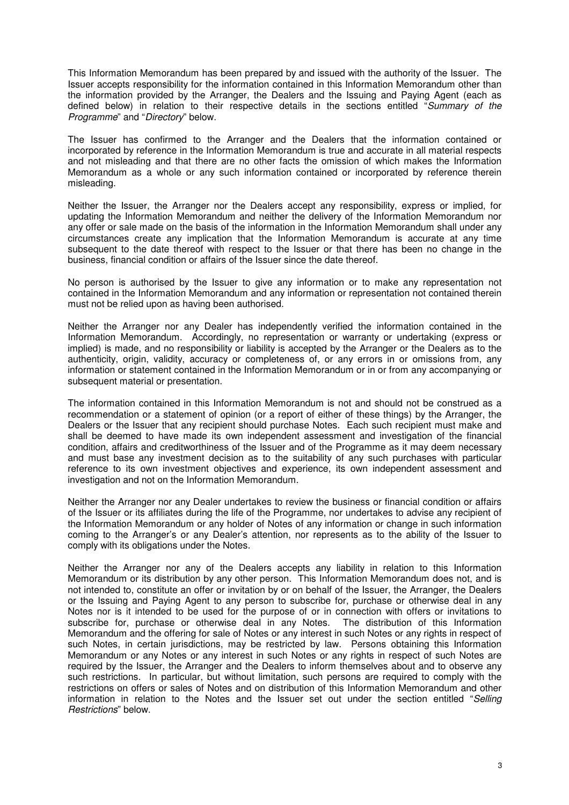This Information Memorandum has been prepared by and issued with the authority of the Issuer. The Issuer accepts responsibility for the information contained in this Information Memorandum other than the information provided by the Arranger, the Dealers and the Issuing and Paying Agent (each as defined below) in relation to their respective details in the sections entitled "*Summary of the Programme*" and "*Directory*" below.

The Issuer has confirmed to the Arranger and the Dealers that the information contained or incorporated by reference in the Information Memorandum is true and accurate in all material respects and not misleading and that there are no other facts the omission of which makes the Information Memorandum as a whole or any such information contained or incorporated by reference therein misleading.

Neither the Issuer, the Arranger nor the Dealers accept any responsibility, express or implied, for updating the Information Memorandum and neither the delivery of the Information Memorandum nor any offer or sale made on the basis of the information in the Information Memorandum shall under any circumstances create any implication that the Information Memorandum is accurate at any time subsequent to the date thereof with respect to the Issuer or that there has been no change in the business, financial condition or affairs of the Issuer since the date thereof.

No person is authorised by the Issuer to give any information or to make any representation not contained in the Information Memorandum and any information or representation not contained therein must not be relied upon as having been authorised.

Neither the Arranger nor any Dealer has independently verified the information contained in the Information Memorandum. Accordingly, no representation or warranty or undertaking (express or implied) is made, and no responsibility or liability is accepted by the Arranger or the Dealers as to the authenticity, origin, validity, accuracy or completeness of, or any errors in or omissions from, any information or statement contained in the Information Memorandum or in or from any accompanying or subsequent material or presentation.

The information contained in this Information Memorandum is not and should not be construed as a recommendation or a statement of opinion (or a report of either of these things) by the Arranger, the Dealers or the Issuer that any recipient should purchase Notes. Each such recipient must make and shall be deemed to have made its own independent assessment and investigation of the financial condition, affairs and creditworthiness of the Issuer and of the Programme as it may deem necessary and must base any investment decision as to the suitability of any such purchases with particular reference to its own investment objectives and experience, its own independent assessment and investigation and not on the Information Memorandum.

Neither the Arranger nor any Dealer undertakes to review the business or financial condition or affairs of the Issuer or its affiliates during the life of the Programme, nor undertakes to advise any recipient of the Information Memorandum or any holder of Notes of any information or change in such information coming to the Arranger's or any Dealer's attention, nor represents as to the ability of the Issuer to comply with its obligations under the Notes.

Neither the Arranger nor any of the Dealers accepts any liability in relation to this Information Memorandum or its distribution by any other person. This Information Memorandum does not, and is not intended to, constitute an offer or invitation by or on behalf of the Issuer, the Arranger, the Dealers or the Issuing and Paying Agent to any person to subscribe for, purchase or otherwise deal in any Notes nor is it intended to be used for the purpose of or in connection with offers or invitations to subscribe for, purchase or otherwise deal in any Notes. The distribution of this Information Memorandum and the offering for sale of Notes or any interest in such Notes or any rights in respect of such Notes, in certain jurisdictions, may be restricted by law. Persons obtaining this Information Memorandum or any Notes or any interest in such Notes or any rights in respect of such Notes are required by the Issuer, the Arranger and the Dealers to inform themselves about and to observe any such restrictions. In particular, but without limitation, such persons are required to comply with the restrictions on offers or sales of Notes and on distribution of this Information Memorandum and other information in relation to the Notes and the Issuer set out under the section entitled "*Selling Restrictions*" below.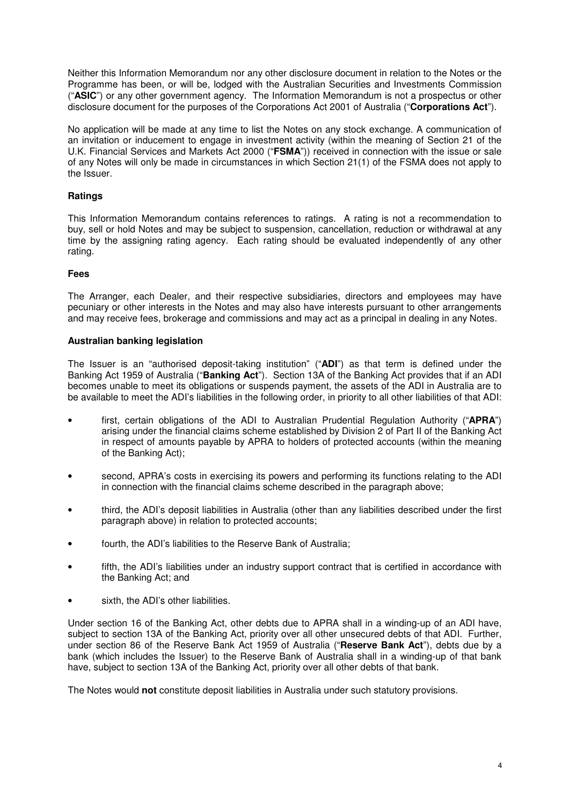Neither this Information Memorandum nor any other disclosure document in relation to the Notes or the Programme has been, or will be, lodged with the Australian Securities and Investments Commission ("**ASIC**") or any other government agency. The Information Memorandum is not a prospectus or other disclosure document for the purposes of the Corporations Act 2001 of Australia ("**Corporations Act**").

No application will be made at any time to list the Notes on any stock exchange. A communication of an invitation or inducement to engage in investment activity (within the meaning of Section 21 of the U.K. Financial Services and Markets Act 2000 ("**FSMA**")) received in connection with the issue or sale of any Notes will only be made in circumstances in which Section 21(1) of the FSMA does not apply to the Issuer.

## **Ratings**

This Information Memorandum contains references to ratings. A rating is not a recommendation to buy, sell or hold Notes and may be subject to suspension, cancellation, reduction or withdrawal at any time by the assigning rating agency. Each rating should be evaluated independently of any other rating.

## **Fees**

The Arranger, each Dealer, and their respective subsidiaries, directors and employees may have pecuniary or other interests in the Notes and may also have interests pursuant to other arrangements and may receive fees, brokerage and commissions and may act as a principal in dealing in any Notes.

### **Australian banking legislation**

The Issuer is an "authorised deposit-taking institution" ("**ADI**") as that term is defined under the Banking Act 1959 of Australia ("**Banking Act**"). Section 13A of the Banking Act provides that if an ADI becomes unable to meet its obligations or suspends payment, the assets of the ADI in Australia are to be available to meet the ADI's liabilities in the following order, in priority to all other liabilities of that ADI:

- first, certain obligations of the ADI to Australian Prudential Regulation Authority ("**APRA**") arising under the financial claims scheme established by Division 2 of Part II of the Banking Act in respect of amounts payable by APRA to holders of protected accounts (within the meaning of the Banking Act);
- second, APRA's costs in exercising its powers and performing its functions relating to the ADI in connection with the financial claims scheme described in the paragraph above;
- third, the ADI's deposit liabilities in Australia (other than any liabilities described under the first paragraph above) in relation to protected accounts;
- fourth, the ADI's liabilities to the Reserve Bank of Australia;
- fifth, the ADI's liabilities under an industry support contract that is certified in accordance with the Banking Act; and
- sixth, the ADI's other liabilities.

Under section 16 of the Banking Act, other debts due to APRA shall in a winding-up of an ADI have, subject to section 13A of the Banking Act, priority over all other unsecured debts of that ADI. Further, under section 86 of the Reserve Bank Act 1959 of Australia ("**Reserve Bank Act**"), debts due by a bank (which includes the Issuer) to the Reserve Bank of Australia shall in a winding-up of that bank have, subject to section 13A of the Banking Act, priority over all other debts of that bank.

The Notes would **not** constitute deposit liabilities in Australia under such statutory provisions.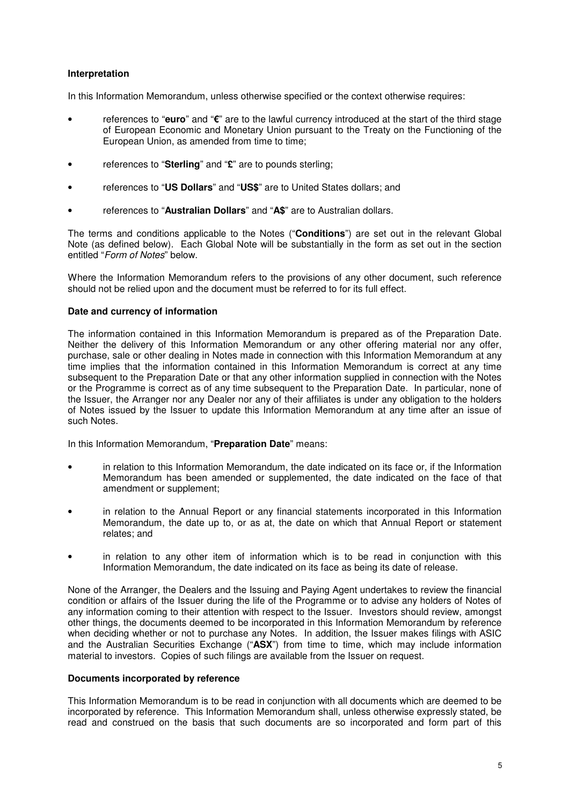## **Interpretation**

In this Information Memorandum, unless otherwise specified or the context otherwise requires:

- references to "**euro**" and "**€**" are to the lawful currency introduced at the start of the third stage of European Economic and Monetary Union pursuant to the Treaty on the Functioning of the European Union, as amended from time to time;
- references to "**Sterling**" and "**£**" are to pounds sterling;
- references to "**US Dollars**" and "**US\$**" are to United States dollars; and
- references to "**Australian Dollars**" and "**A\$**" are to Australian dollars.

The terms and conditions applicable to the Notes ("**Conditions**") are set out in the relevant Global Note (as defined below). Each Global Note will be substantially in the form as set out in the section entitled "*Form of Notes*" below.

Where the Information Memorandum refers to the provisions of any other document, such reference should not be relied upon and the document must be referred to for its full effect.

### **Date and currency of information**

The information contained in this Information Memorandum is prepared as of the Preparation Date. Neither the delivery of this Information Memorandum or any other offering material nor any offer, purchase, sale or other dealing in Notes made in connection with this Information Memorandum at any time implies that the information contained in this Information Memorandum is correct at any time subsequent to the Preparation Date or that any other information supplied in connection with the Notes or the Programme is correct as of any time subsequent to the Preparation Date. In particular, none of the Issuer, the Arranger nor any Dealer nor any of their affiliates is under any obligation to the holders of Notes issued by the Issuer to update this Information Memorandum at any time after an issue of such Notes.

In this Information Memorandum, "**Preparation Date**" means:

- in relation to this Information Memorandum, the date indicated on its face or, if the Information Memorandum has been amended or supplemented, the date indicated on the face of that amendment or supplement;
- in relation to the Annual Report or any financial statements incorporated in this Information Memorandum, the date up to, or as at, the date on which that Annual Report or statement relates; and
- in relation to any other item of information which is to be read in conjunction with this Information Memorandum, the date indicated on its face as being its date of release.

None of the Arranger, the Dealers and the Issuing and Paying Agent undertakes to review the financial condition or affairs of the Issuer during the life of the Programme or to advise any holders of Notes of any information coming to their attention with respect to the Issuer. Investors should review, amongst other things, the documents deemed to be incorporated in this Information Memorandum by reference when deciding whether or not to purchase any Notes. In addition, the Issuer makes filings with ASIC and the Australian Securities Exchange ("**ASX**") from time to time, which may include information material to investors. Copies of such filings are available from the Issuer on request.

### **Documents incorporated by reference**

This Information Memorandum is to be read in conjunction with all documents which are deemed to be incorporated by reference. This Information Memorandum shall, unless otherwise expressly stated, be read and construed on the basis that such documents are so incorporated and form part of this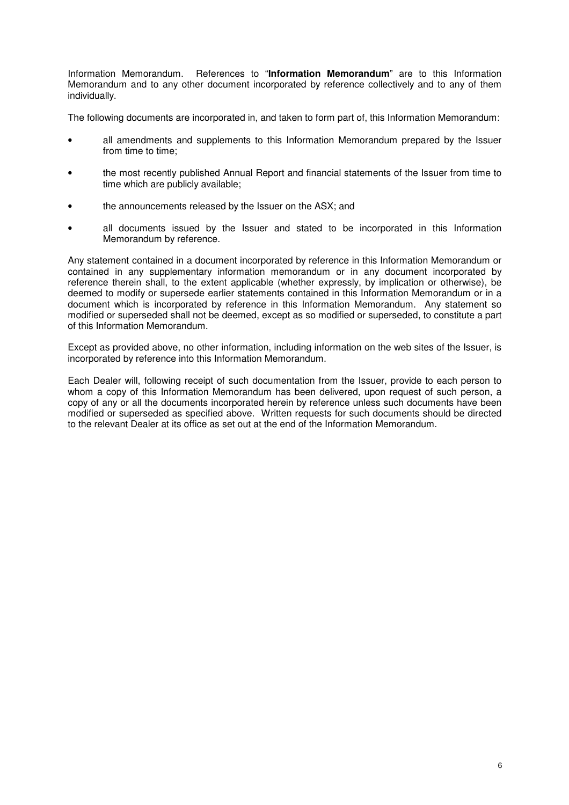Information Memorandum. References to "**Information Memorandum**" are to this Information Memorandum and to any other document incorporated by reference collectively and to any of them individually.

The following documents are incorporated in, and taken to form part of, this Information Memorandum:

- all amendments and supplements to this Information Memorandum prepared by the Issuer from time to time;
- the most recently published Annual Report and financial statements of the Issuer from time to time which are publicly available;
- the announcements released by the Issuer on the ASX; and
- all documents issued by the Issuer and stated to be incorporated in this Information Memorandum by reference.

Any statement contained in a document incorporated by reference in this Information Memorandum or contained in any supplementary information memorandum or in any document incorporated by reference therein shall, to the extent applicable (whether expressly, by implication or otherwise), be deemed to modify or supersede earlier statements contained in this Information Memorandum or in a document which is incorporated by reference in this Information Memorandum. Any statement so modified or superseded shall not be deemed, except as so modified or superseded, to constitute a part of this Information Memorandum.

Except as provided above, no other information, including information on the web sites of the Issuer, is incorporated by reference into this Information Memorandum.

Each Dealer will, following receipt of such documentation from the Issuer, provide to each person to whom a copy of this Information Memorandum has been delivered, upon request of such person, a copy of any or all the documents incorporated herein by reference unless such documents have been modified or superseded as specified above. Written requests for such documents should be directed to the relevant Dealer at its office as set out at the end of the Information Memorandum.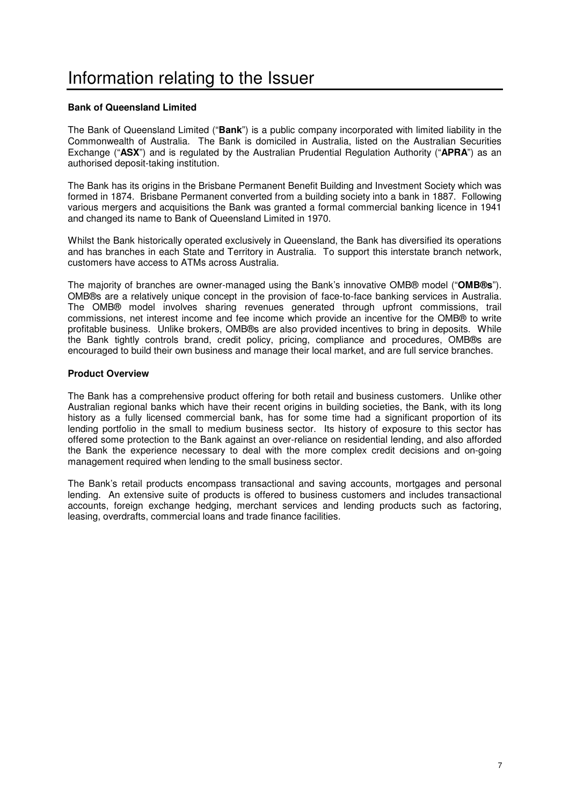## **Bank of Queensland Limited**

The Bank of Queensland Limited ("**Bank**") is a public company incorporated with limited liability in the Commonwealth of Australia. The Bank is domiciled in Australia, listed on the Australian Securities Exchange ("**ASX**") and is regulated by the Australian Prudential Regulation Authority ("**APRA**") as an authorised deposit-taking institution.

The Bank has its origins in the Brisbane Permanent Benefit Building and Investment Society which was formed in 1874. Brisbane Permanent converted from a building society into a bank in 1887. Following various mergers and acquisitions the Bank was granted a formal commercial banking licence in 1941 and changed its name to Bank of Queensland Limited in 1970.

Whilst the Bank historically operated exclusively in Queensland, the Bank has diversified its operations and has branches in each State and Territory in Australia. To support this interstate branch network, customers have access to ATMs across Australia.

The majority of branches are owner-managed using the Bank's innovative OMB® model ("**OMB®s**"). OMB®s are a relatively unique concept in the provision of face-to-face banking services in Australia. The OMB® model involves sharing revenues generated through upfront commissions, trail commissions, net interest income and fee income which provide an incentive for the OMB® to write profitable business. Unlike brokers, OMB®s are also provided incentives to bring in deposits. While the Bank tightly controls brand, credit policy, pricing, compliance and procedures, OMB®s are encouraged to build their own business and manage their local market, and are full service branches.

### **Product Overview**

The Bank has a comprehensive product offering for both retail and business customers. Unlike other Australian regional banks which have their recent origins in building societies, the Bank, with its long history as a fully licensed commercial bank, has for some time had a significant proportion of its lending portfolio in the small to medium business sector. Its history of exposure to this sector has offered some protection to the Bank against an over-reliance on residential lending, and also afforded the Bank the experience necessary to deal with the more complex credit decisions and on-going management required when lending to the small business sector.

The Bank's retail products encompass transactional and saving accounts, mortgages and personal lending. An extensive suite of products is offered to business customers and includes transactional accounts, foreign exchange hedging, merchant services and lending products such as factoring, leasing, overdrafts, commercial loans and trade finance facilities.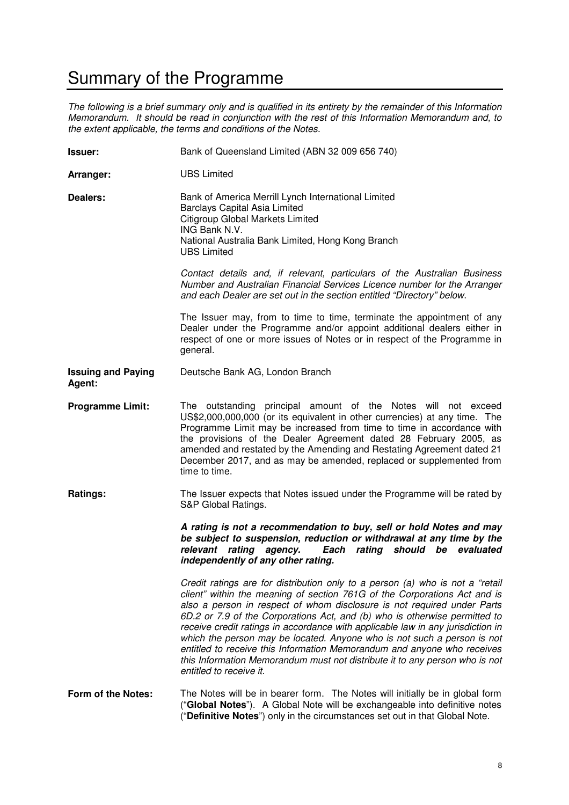## Summary of the Programme

*The following is a brief summary only and is qualified in its entirety by the remainder of this Information Memorandum. It should be read in conjunction with the rest of this Information Memorandum and, to the extent applicable, the terms and conditions of the Notes.*

| <b>Issuer:</b>                      | Bank of Queensland Limited (ABN 32 009 656 740)                                                                                                                                                                                                                                                                                                                                                                                                                                                                                                                                                                                                                        |  |  |
|-------------------------------------|------------------------------------------------------------------------------------------------------------------------------------------------------------------------------------------------------------------------------------------------------------------------------------------------------------------------------------------------------------------------------------------------------------------------------------------------------------------------------------------------------------------------------------------------------------------------------------------------------------------------------------------------------------------------|--|--|
| Arranger:                           | <b>UBS Limited</b>                                                                                                                                                                                                                                                                                                                                                                                                                                                                                                                                                                                                                                                     |  |  |
| Dealers:                            | Bank of America Merrill Lynch International Limited<br><b>Barclays Capital Asia Limited</b><br>Citigroup Global Markets Limited<br>ING Bank N.V.<br>National Australia Bank Limited, Hong Kong Branch<br><b>UBS Limited</b>                                                                                                                                                                                                                                                                                                                                                                                                                                            |  |  |
|                                     | Contact details and, if relevant, particulars of the Australian Business<br>Number and Australian Financial Services Licence number for the Arranger<br>and each Dealer are set out in the section entitled "Directory" below.                                                                                                                                                                                                                                                                                                                                                                                                                                         |  |  |
|                                     | The Issuer may, from to time to time, terminate the appointment of any<br>Dealer under the Programme and/or appoint additional dealers either in<br>respect of one or more issues of Notes or in respect of the Programme in<br>general.                                                                                                                                                                                                                                                                                                                                                                                                                               |  |  |
| <b>Issuing and Paying</b><br>Agent: | Deutsche Bank AG, London Branch                                                                                                                                                                                                                                                                                                                                                                                                                                                                                                                                                                                                                                        |  |  |
| <b>Programme Limit:</b>             | The outstanding principal amount of the Notes will not exceed<br>US\$2,000,000,000 (or its equivalent in other currencies) at any time. The<br>Programme Limit may be increased from time to time in accordance with<br>the provisions of the Dealer Agreement dated 28 February 2005, as<br>amended and restated by the Amending and Restating Agreement dated 21<br>December 2017, and as may be amended, replaced or supplemented from<br>time to time.                                                                                                                                                                                                             |  |  |
| Ratings:                            | The Issuer expects that Notes issued under the Programme will be rated by<br>S&P Global Ratings.                                                                                                                                                                                                                                                                                                                                                                                                                                                                                                                                                                       |  |  |
|                                     | A rating is not a recommendation to buy, sell or hold Notes and may<br>be subject to suspension, reduction or withdrawal at any time by the<br>relevant rating agency.<br>Each<br>rating<br>should be evaluated<br>independently of any other rating.                                                                                                                                                                                                                                                                                                                                                                                                                  |  |  |
|                                     | Credit ratings are for distribution only to a person (a) who is not a "retail<br>client" within the meaning of section 761G of the Corporations Act and is<br>also a person in respect of whom disclosure is not required under Parts<br>6D.2 or 7.9 of the Corporations Act, and (b) who is otherwise permitted to<br>receive credit ratings in accordance with applicable law in any jurisdiction in<br>which the person may be located. Anyone who is not such a person is not<br>entitled to receive this Information Memorandum and anyone who receives<br>this Information Memorandum must not distribute it to any person who is not<br>entitled to receive it. |  |  |
| Form of the Notes:                  | The Notes will be in bearer form. The Notes will initially be in global form<br>("Global Notes"). A Global Note will be exchangeable into definitive notes<br>"Definitive Notes") only in the circumstances set out in that Global Note.                                                                                                                                                                                                                                                                                                                                                                                                                               |  |  |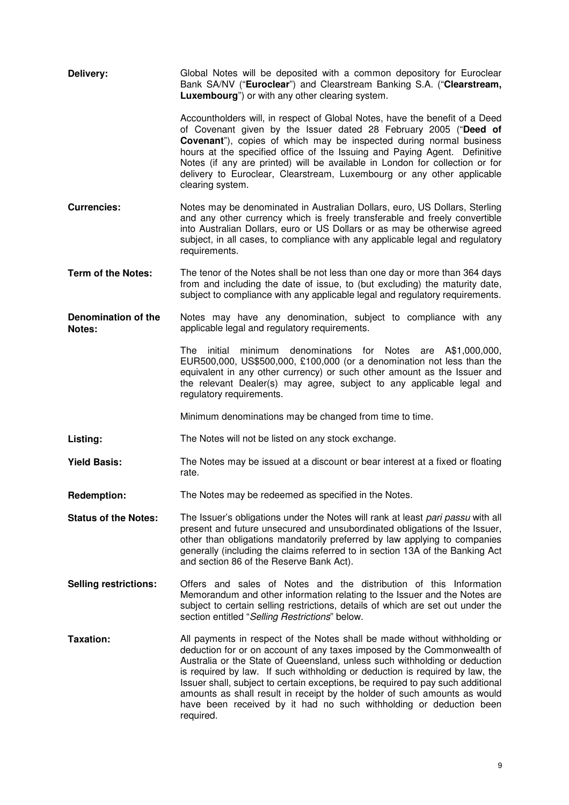| Delivery:                     | Global Notes will be deposited with a common depository for Euroclear<br>Bank SA/NV ("Euroclear") and Clearstream Banking S.A. ("Clearstream,<br>Luxembourg") or with any other clearing system.                                                                                                                                                                                                                                                                                                                                                                      |  |  |
|-------------------------------|-----------------------------------------------------------------------------------------------------------------------------------------------------------------------------------------------------------------------------------------------------------------------------------------------------------------------------------------------------------------------------------------------------------------------------------------------------------------------------------------------------------------------------------------------------------------------|--|--|
|                               | Accountholders will, in respect of Global Notes, have the benefit of a Deed<br>of Covenant given by the Issuer dated 28 February 2005 ("Deed of<br><b>Covenant</b> "), copies of which may be inspected during normal business<br>hours at the specified office of the Issuing and Paying Agent. Definitive<br>Notes (if any are printed) will be available in London for collection or for<br>delivery to Euroclear, Clearstream, Luxembourg or any other applicable<br>clearing system.                                                                             |  |  |
| <b>Currencies:</b>            | Notes may be denominated in Australian Dollars, euro, US Dollars, Sterling<br>and any other currency which is freely transferable and freely convertible<br>into Australian Dollars, euro or US Dollars or as may be otherwise agreed<br>subject, in all cases, to compliance with any applicable legal and regulatory<br>requirements.                                                                                                                                                                                                                               |  |  |
| <b>Term of the Notes:</b>     | The tenor of the Notes shall be not less than one day or more than 364 days<br>from and including the date of issue, to (but excluding) the maturity date,<br>subject to compliance with any applicable legal and regulatory requirements.                                                                                                                                                                                                                                                                                                                            |  |  |
| Denomination of the<br>Notes: | Notes may have any denomination, subject to compliance with any<br>applicable legal and regulatory requirements.                                                                                                                                                                                                                                                                                                                                                                                                                                                      |  |  |
|                               | minimum denominations for Notes are A\$1,000,000,<br>The initial<br>EUR500,000, US\$500,000, £100,000 (or a denomination not less than the<br>equivalent in any other currency) or such other amount as the Issuer and<br>the relevant Dealer(s) may agree, subject to any applicable legal and<br>regulatory requirements.                                                                                                                                                                                                                                           |  |  |
|                               | Minimum denominations may be changed from time to time.                                                                                                                                                                                                                                                                                                                                                                                                                                                                                                               |  |  |
| Listing:                      | The Notes will not be listed on any stock exchange.                                                                                                                                                                                                                                                                                                                                                                                                                                                                                                                   |  |  |
| <b>Yield Basis:</b>           | The Notes may be issued at a discount or bear interest at a fixed or floating<br>rate.                                                                                                                                                                                                                                                                                                                                                                                                                                                                                |  |  |
| <b>Redemption:</b>            | The Notes may be redeemed as specified in the Notes.                                                                                                                                                                                                                                                                                                                                                                                                                                                                                                                  |  |  |
| <b>Status of the Notes:</b>   | The Issuer's obligations under the Notes will rank at least pari passu with all<br>present and future unsecured and unsubordinated obligations of the Issuer,<br>other than obligations mandatorily preferred by law applying to companies<br>generally (including the claims referred to in section 13A of the Banking Act<br>and section 86 of the Reserve Bank Act).                                                                                                                                                                                               |  |  |
| <b>Selling restrictions:</b>  | Offers and sales of Notes and the distribution of this Information<br>Memorandum and other information relating to the Issuer and the Notes are<br>subject to certain selling restrictions, details of which are set out under the<br>section entitled "Selling Restrictions" below.                                                                                                                                                                                                                                                                                  |  |  |
| <b>Taxation:</b>              | All payments in respect of the Notes shall be made without withholding or<br>deduction for or on account of any taxes imposed by the Commonwealth of<br>Australia or the State of Queensland, unless such withholding or deduction<br>is required by law. If such withholding or deduction is required by law, the<br>Issuer shall, subject to certain exceptions, be required to pay such additional<br>amounts as shall result in receipt by the holder of such amounts as would<br>have been received by it had no such withholding or deduction been<br>required. |  |  |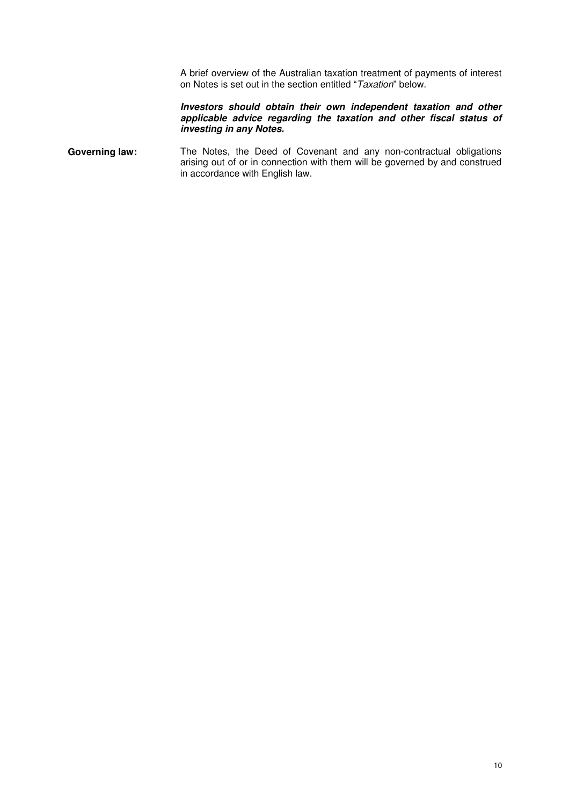A brief overview of the Australian taxation treatment of payments of interest on Notes is set out in the section entitled "*Taxation*" below.

#### **Investors should obtain their own independent taxation and other applicable advice regarding the taxation and other fiscal status of investing in any Notes.**

Governing law: The Notes, the Deed of Covenant and any non-contractual obligations arising out of or in connection with them will be governed by and construed in accordance with English law.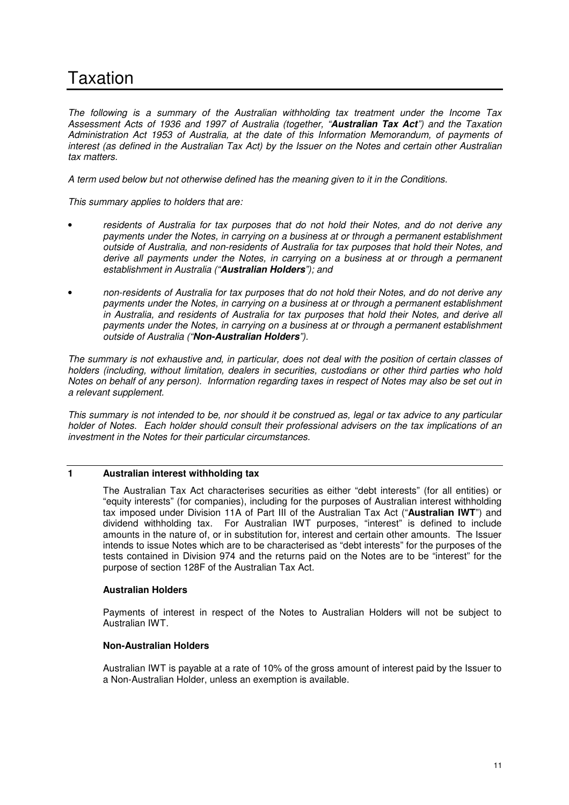# Taxation

*The following is a summary of the Australian withholding tax treatment under the Income Tax Assessment Acts of 1936 and 1997 of Australia (together, "***Australian Tax Act***") and the Taxation Administration Act 1953 of Australia, at the date of this Information Memorandum, of payments of interest (as defined in the Australian Tax Act) by the Issuer on the Notes and certain other Australian tax matters.* 

*A term used below but not otherwise defined has the meaning given to it in the Conditions.* 

*This summary applies to holders that are:* 

- *residents of Australia for tax purposes that do not hold their Notes, and do not derive any payments under the Notes, in carrying on a business at or through a permanent establishment outside of Australia, and non-residents of Australia for tax purposes that hold their Notes, and derive all payments under the Notes, in carrying on a business at or through a permanent establishment in Australia ("***Australian Holders***"); and*
- *non-residents of Australia for tax purposes that do not hold their Notes, and do not derive any payments under the Notes, in carrying on a business at or through a permanent establishment in Australia, and residents of Australia for tax purposes that hold their Notes, and derive all payments under the Notes, in carrying on a business at or through a permanent establishment outside of Australia ("***Non-Australian Holders***").*

*The summary is not exhaustive and, in particular, does not deal with the position of certain classes of holders (including, without limitation, dealers in securities, custodians or other third parties who hold Notes on behalf of any person). Information regarding taxes in respect of Notes may also be set out in a relevant supplement.* 

*This summary is not intended to be, nor should it be construed as, legal or tax advice to any particular holder of Notes. Each holder should consult their professional advisers on the tax implications of an investment in the Notes for their particular circumstances.* 

## **1 Australian interest withholding tax**

The Australian Tax Act characterises securities as either "debt interests" (for all entities) or "equity interests" (for companies), including for the purposes of Australian interest withholding tax imposed under Division 11A of Part III of the Australian Tax Act ("**Australian IWT**") and dividend withholding tax. For Australian IWT purposes, "interest" is defined to include amounts in the nature of, or in substitution for, interest and certain other amounts. The Issuer intends to issue Notes which are to be characterised as "debt interests" for the purposes of the tests contained in Division 974 and the returns paid on the Notes are to be "interest" for the purpose of section 128F of the Australian Tax Act.

### **Australian Holders**

Payments of interest in respect of the Notes to Australian Holders will not be subject to Australian IWT.

### **Non-Australian Holders**

Australian IWT is payable at a rate of 10% of the gross amount of interest paid by the Issuer to a Non-Australian Holder, unless an exemption is available.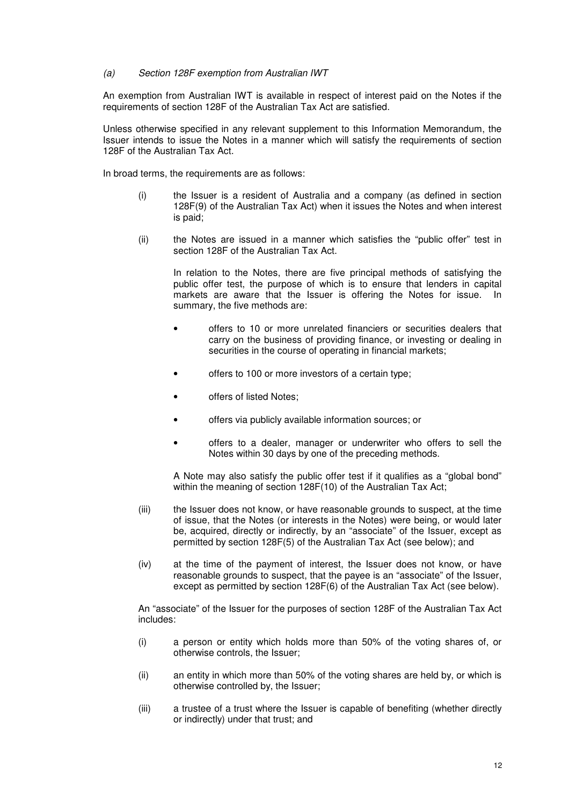#### *(a) Section 128F exemption from Australian IWT*

An exemption from Australian IWT is available in respect of interest paid on the Notes if the requirements of section 128F of the Australian Tax Act are satisfied.

Unless otherwise specified in any relevant supplement to this Information Memorandum, the Issuer intends to issue the Notes in a manner which will satisfy the requirements of section 128F of the Australian Tax Act.

In broad terms, the requirements are as follows:

- (i) the Issuer is a resident of Australia and a company (as defined in section 128F(9) of the Australian Tax Act) when it issues the Notes and when interest is paid;
- (ii) the Notes are issued in a manner which satisfies the "public offer" test in section 128F of the Australian Tax Act.

In relation to the Notes, there are five principal methods of satisfying the public offer test, the purpose of which is to ensure that lenders in capital markets are aware that the Issuer is offering the Notes for issue. In summary, the five methods are:

- offers to 10 or more unrelated financiers or securities dealers that carry on the business of providing finance, or investing or dealing in securities in the course of operating in financial markets;
- offers to 100 or more investors of a certain type;
- offers of listed Notes;
- offers via publicly available information sources; or
- offers to a dealer, manager or underwriter who offers to sell the Notes within 30 days by one of the preceding methods.

A Note may also satisfy the public offer test if it qualifies as a "global bond" within the meaning of section 128F(10) of the Australian Tax Act;

- (iii) the Issuer does not know, or have reasonable grounds to suspect, at the time of issue, that the Notes (or interests in the Notes) were being, or would later be, acquired, directly or indirectly, by an "associate" of the Issuer, except as permitted by section 128F(5) of the Australian Tax Act (see below); and
- (iv) at the time of the payment of interest, the Issuer does not know, or have reasonable grounds to suspect, that the payee is an "associate" of the Issuer, except as permitted by section 128F(6) of the Australian Tax Act (see below).

An "associate" of the Issuer for the purposes of section 128F of the Australian Tax Act includes:

- (i) a person or entity which holds more than 50% of the voting shares of, or otherwise controls, the Issuer;
- (ii) an entity in which more than 50% of the voting shares are held by, or which is otherwise controlled by, the Issuer;
- (iii) a trustee of a trust where the Issuer is capable of benefiting (whether directly or indirectly) under that trust; and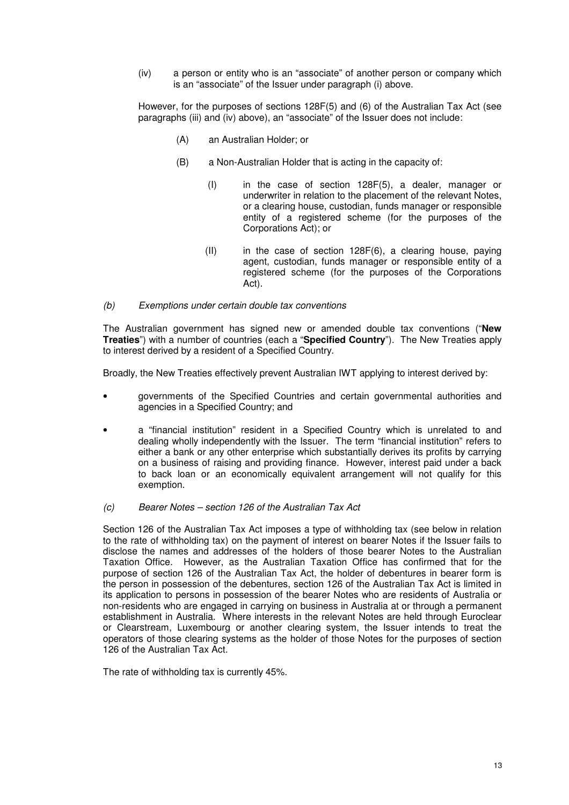(iv) a person or entity who is an "associate" of another person or company which is an "associate" of the Issuer under paragraph (i) above.

However, for the purposes of sections 128F(5) and (6) of the Australian Tax Act (see paragraphs (iii) and (iv) above), an "associate" of the Issuer does not include:

- (A) an Australian Holder; or
- (B) a Non-Australian Holder that is acting in the capacity of:
	- (I) in the case of section 128F(5), a dealer, manager or underwriter in relation to the placement of the relevant Notes, or a clearing house, custodian, funds manager or responsible entity of a registered scheme (for the purposes of the Corporations Act); or
	- $(II)$  in the case of section 128F $(6)$ , a clearing house, paying agent, custodian, funds manager or responsible entity of a registered scheme (for the purposes of the Corporations Act).
- *(b) Exemptions under certain double tax conventions*

The Australian government has signed new or amended double tax conventions ("**New Treaties**") with a number of countries (each a "**Specified Country**"). The New Treaties apply to interest derived by a resident of a Specified Country.

Broadly, the New Treaties effectively prevent Australian IWT applying to interest derived by:

- governments of the Specified Countries and certain governmental authorities and agencies in a Specified Country; and
- a "financial institution" resident in a Specified Country which is unrelated to and dealing wholly independently with the Issuer. The term "financial institution" refers to either a bank or any other enterprise which substantially derives its profits by carrying on a business of raising and providing finance. However, interest paid under a back to back loan or an economically equivalent arrangement will not qualify for this exemption.
- *(c) Bearer Notes section 126 of the Australian Tax Act*

Section 126 of the Australian Tax Act imposes a type of withholding tax (see below in relation to the rate of withholding tax) on the payment of interest on bearer Notes if the Issuer fails to disclose the names and addresses of the holders of those bearer Notes to the Australian Taxation Office. However, as the Australian Taxation Office has confirmed that for the purpose of section 126 of the Australian Tax Act, the holder of debentures in bearer form is the person in possession of the debentures, section 126 of the Australian Tax Act is limited in its application to persons in possession of the bearer Notes who are residents of Australia or non-residents who are engaged in carrying on business in Australia at or through a permanent establishment in Australia. Where interests in the relevant Notes are held through Euroclear or Clearstream, Luxembourg or another clearing system, the Issuer intends to treat the operators of those clearing systems as the holder of those Notes for the purposes of section 126 of the Australian Tax Act.

The rate of withholding tax is currently 45%.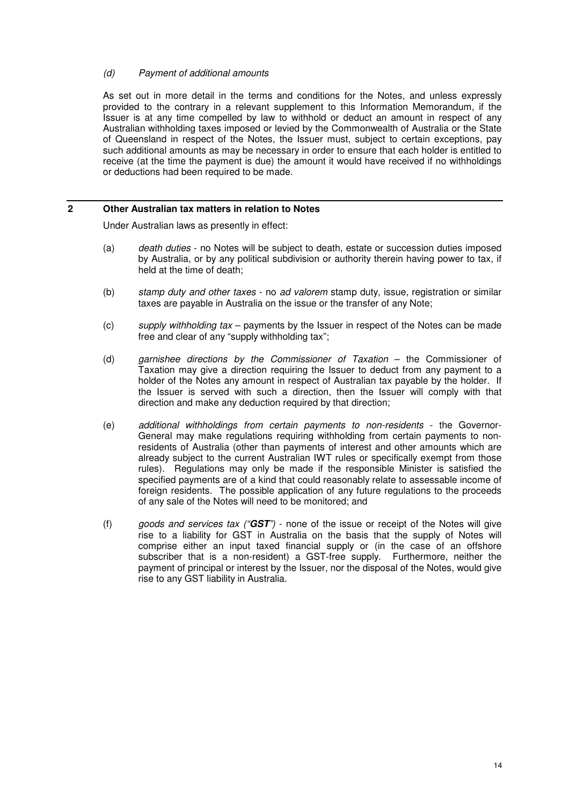### *(d) Payment of additional amounts*

As set out in more detail in the terms and conditions for the Notes, and unless expressly provided to the contrary in a relevant supplement to this Information Memorandum, if the Issuer is at any time compelled by law to withhold or deduct an amount in respect of any Australian withholding taxes imposed or levied by the Commonwealth of Australia or the State of Queensland in respect of the Notes, the Issuer must, subject to certain exceptions, pay such additional amounts as may be necessary in order to ensure that each holder is entitled to receive (at the time the payment is due) the amount it would have received if no withholdings or deductions had been required to be made.

### **2 Other Australian tax matters in relation to Notes**

Under Australian laws as presently in effect:

- (a) *death duties* no Notes will be subject to death, estate or succession duties imposed by Australia, or by any political subdivision or authority therein having power to tax, if held at the time of death;
- (b) *stamp duty and other taxes* no *ad valorem* stamp duty, issue, registration or similar taxes are payable in Australia on the issue or the transfer of any Note;
- (c) *supply withholding tax* payments by the Issuer in respect of the Notes can be made free and clear of any "supply withholding tax";
- (d) *garnishee directions by the Commissioner of Taxation* the Commissioner of Taxation may give a direction requiring the Issuer to deduct from any payment to a holder of the Notes any amount in respect of Australian tax payable by the holder. If the Issuer is served with such a direction, then the Issuer will comply with that direction and make any deduction required by that direction;
- (e) *additional withholdings from certain payments to non-residents* the Governor-General may make regulations requiring withholding from certain payments to nonresidents of Australia (other than payments of interest and other amounts which are already subject to the current Australian IWT rules or specifically exempt from those rules). Regulations may only be made if the responsible Minister is satisfied the specified payments are of a kind that could reasonably relate to assessable income of foreign residents. The possible application of any future regulations to the proceeds of any sale of the Notes will need to be monitored; and
- (f) *goods and services tax ("***GST***")* none of the issue or receipt of the Notes will give rise to a liability for GST in Australia on the basis that the supply of Notes will comprise either an input taxed financial supply or (in the case of an offshore subscriber that is a non-resident) a GST-free supply. Furthermore, neither the payment of principal or interest by the Issuer, nor the disposal of the Notes, would give rise to any GST liability in Australia.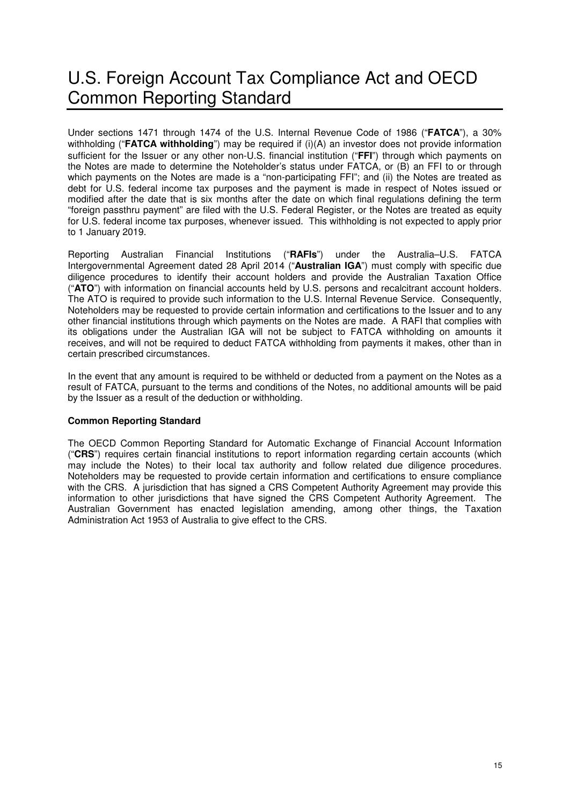# U.S. Foreign Account Tax Compliance Act and OECD Common Reporting Standard

Under sections 1471 through 1474 of the U.S. Internal Revenue Code of 1986 ("**FATCA**"), a 30% withholding ("**FATCA withholding**") may be required if (i)(A) an investor does not provide information sufficient for the Issuer or any other non-U.S. financial institution ("**FFI**") through which payments on the Notes are made to determine the Noteholder's status under FATCA, or (B) an FFI to or through which payments on the Notes are made is a "non-participating FFI"; and (ii) the Notes are treated as debt for U.S. federal income tax purposes and the payment is made in respect of Notes issued or modified after the date that is six months after the date on which final regulations defining the term "foreign passthru payment" are filed with the U.S. Federal Register, or the Notes are treated as equity for U.S. federal income tax purposes, whenever issued. This withholding is not expected to apply prior to 1 January 2019.

Reporting Australian Financial Institutions ("**RAFIs**") under the Australia–U.S. FATCA Intergovernmental Agreement dated 28 April 2014 ("**Australian IGA**") must comply with specific due diligence procedures to identify their account holders and provide the Australian Taxation Office ("**ATO**") with information on financial accounts held by U.S. persons and recalcitrant account holders. The ATO is required to provide such information to the U.S. Internal Revenue Service. Consequently, Noteholders may be requested to provide certain information and certifications to the Issuer and to any other financial institutions through which payments on the Notes are made. A RAFI that complies with its obligations under the Australian IGA will not be subject to FATCA withholding on amounts it receives, and will not be required to deduct FATCA withholding from payments it makes, other than in certain prescribed circumstances.

In the event that any amount is required to be withheld or deducted from a payment on the Notes as a result of FATCA, pursuant to the terms and conditions of the Notes, no additional amounts will be paid by the Issuer as a result of the deduction or withholding.

### **Common Reporting Standard**

The OECD Common Reporting Standard for Automatic Exchange of Financial Account Information ("**CRS**") requires certain financial institutions to report information regarding certain accounts (which may include the Notes) to their local tax authority and follow related due diligence procedures. Noteholders may be requested to provide certain information and certifications to ensure compliance with the CRS. A jurisdiction that has signed a CRS Competent Authority Agreement may provide this information to other jurisdictions that have signed the CRS Competent Authority Agreement. The Australian Government has enacted legislation amending, among other things, the Taxation Administration Act 1953 of Australia to give effect to the CRS.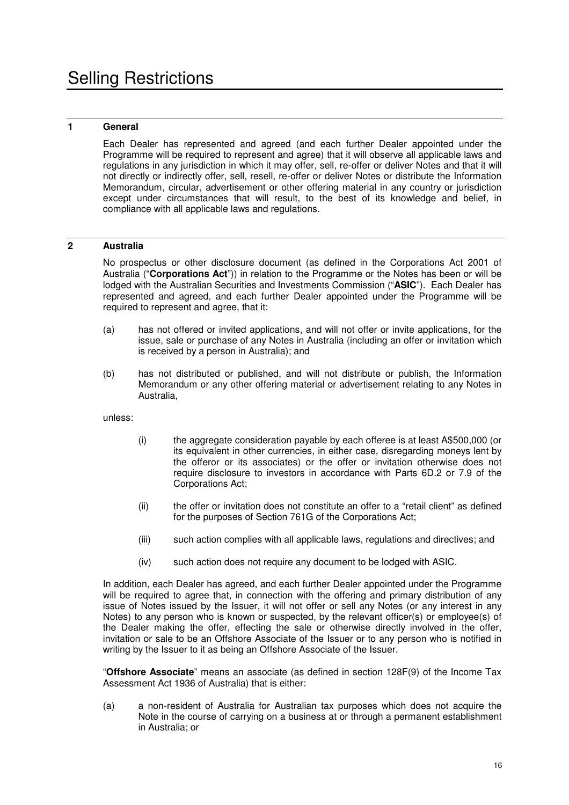## **1 General**

Each Dealer has represented and agreed (and each further Dealer appointed under the Programme will be required to represent and agree) that it will observe all applicable laws and regulations in any jurisdiction in which it may offer, sell, re-offer or deliver Notes and that it will not directly or indirectly offer, sell, resell, re-offer or deliver Notes or distribute the Information Memorandum, circular, advertisement or other offering material in any country or jurisdiction except under circumstances that will result, to the best of its knowledge and belief, in compliance with all applicable laws and regulations.

## **2 Australia**

No prospectus or other disclosure document (as defined in the Corporations Act 2001 of Australia ("**Corporations Act**")) in relation to the Programme or the Notes has been or will be lodged with the Australian Securities and Investments Commission ("**ASIC**"). Each Dealer has represented and agreed, and each further Dealer appointed under the Programme will be required to represent and agree, that it:

- (a) has not offered or invited applications, and will not offer or invite applications, for the issue, sale or purchase of any Notes in Australia (including an offer or invitation which is received by a person in Australia); and
- (b) has not distributed or published, and will not distribute or publish, the Information Memorandum or any other offering material or advertisement relating to any Notes in Australia,

unless:

- (i) the aggregate consideration payable by each offeree is at least A\$500,000 (or its equivalent in other currencies, in either case, disregarding moneys lent by the offeror or its associates) or the offer or invitation otherwise does not require disclosure to investors in accordance with Parts 6D.2 or 7.9 of the Corporations Act;
- (ii) the offer or invitation does not constitute an offer to a "retail client" as defined for the purposes of Section 761G of the Corporations Act;
- (iii) such action complies with all applicable laws, regulations and directives; and
- (iv) such action does not require any document to be lodged with ASIC.

In addition, each Dealer has agreed, and each further Dealer appointed under the Programme will be required to agree that, in connection with the offering and primary distribution of any issue of Notes issued by the Issuer, it will not offer or sell any Notes (or any interest in any Notes) to any person who is known or suspected, by the relevant officer(s) or employee(s) of the Dealer making the offer, effecting the sale or otherwise directly involved in the offer, invitation or sale to be an Offshore Associate of the Issuer or to any person who is notified in writing by the Issuer to it as being an Offshore Associate of the Issuer.

"**Offshore Associate**" means an associate (as defined in section 128F(9) of the Income Tax Assessment Act 1936 of Australia) that is either:

(a) a non-resident of Australia for Australian tax purposes which does not acquire the Note in the course of carrying on a business at or through a permanent establishment in Australia; or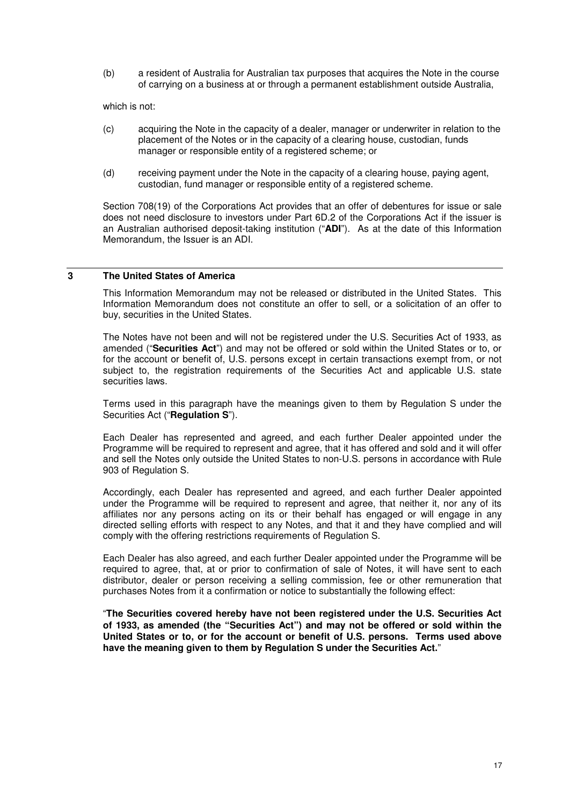(b) a resident of Australia for Australian tax purposes that acquires the Note in the course of carrying on a business at or through a permanent establishment outside Australia,

which is not:

- (c) acquiring the Note in the capacity of a dealer, manager or underwriter in relation to the placement of the Notes or in the capacity of a clearing house, custodian, funds manager or responsible entity of a registered scheme; or
- (d) receiving payment under the Note in the capacity of a clearing house, paying agent, custodian, fund manager or responsible entity of a registered scheme.

Section 708(19) of the Corporations Act provides that an offer of debentures for issue or sale does not need disclosure to investors under Part 6D.2 of the Corporations Act if the issuer is an Australian authorised deposit-taking institution ("**ADI**"). As at the date of this Information Memorandum, the Issuer is an ADI.

#### **3 The United States of America**

This Information Memorandum may not be released or distributed in the United States. This Information Memorandum does not constitute an offer to sell, or a solicitation of an offer to buy, securities in the United States.

The Notes have not been and will not be registered under the U.S. Securities Act of 1933, as amended ("**Securities Act**") and may not be offered or sold within the United States or to, or for the account or benefit of, U.S. persons except in certain transactions exempt from, or not subject to, the registration requirements of the Securities Act and applicable U.S. state securities laws.

Terms used in this paragraph have the meanings given to them by Regulation S under the Securities Act ("**Regulation S**").

Each Dealer has represented and agreed, and each further Dealer appointed under the Programme will be required to represent and agree, that it has offered and sold and it will offer and sell the Notes only outside the United States to non-U.S. persons in accordance with Rule 903 of Regulation S.

Accordingly, each Dealer has represented and agreed, and each further Dealer appointed under the Programme will be required to represent and agree, that neither it, nor any of its affiliates nor any persons acting on its or their behalf has engaged or will engage in any directed selling efforts with respect to any Notes, and that it and they have complied and will comply with the offering restrictions requirements of Regulation S.

Each Dealer has also agreed, and each further Dealer appointed under the Programme will be required to agree, that, at or prior to confirmation of sale of Notes, it will have sent to each distributor, dealer or person receiving a selling commission, fee or other remuneration that purchases Notes from it a confirmation or notice to substantially the following effect:

"**The Securities covered hereby have not been registered under the U.S. Securities Act of 1933, as amended (the "Securities Act") and may not be offered or sold within the United States or to, or for the account or benefit of U.S. persons. Terms used above have the meaning given to them by Regulation S under the Securities Act.**"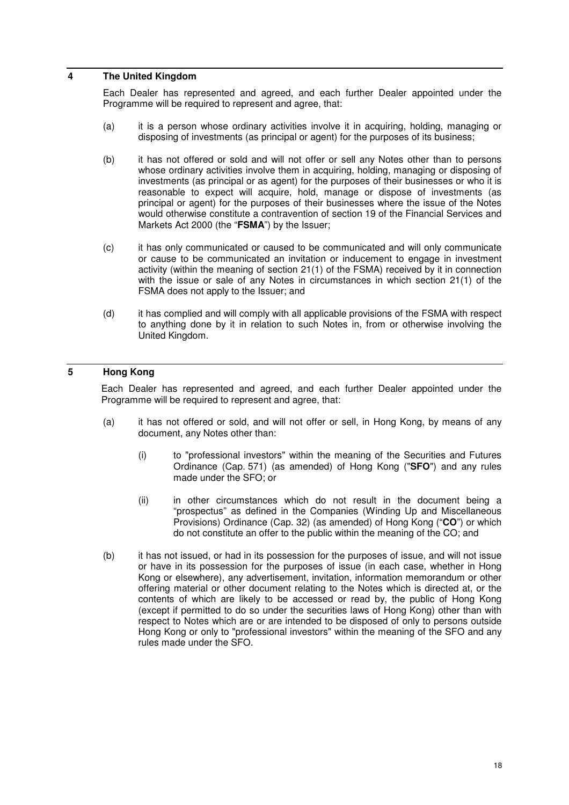#### **4 The United Kingdom**

Each Dealer has represented and agreed, and each further Dealer appointed under the Programme will be required to represent and agree, that:

- (a) it is a person whose ordinary activities involve it in acquiring, holding, managing or disposing of investments (as principal or agent) for the purposes of its business;
- (b) it has not offered or sold and will not offer or sell any Notes other than to persons whose ordinary activities involve them in acquiring, holding, managing or disposing of investments (as principal or as agent) for the purposes of their businesses or who it is reasonable to expect will acquire, hold, manage or dispose of investments (as principal or agent) for the purposes of their businesses where the issue of the Notes would otherwise constitute a contravention of section 19 of the Financial Services and Markets Act 2000 (the "**FSMA**") by the Issuer;
- (c) it has only communicated or caused to be communicated and will only communicate or cause to be communicated an invitation or inducement to engage in investment activity (within the meaning of section 21(1) of the FSMA) received by it in connection with the issue or sale of any Notes in circumstances in which section 21(1) of the FSMA does not apply to the Issuer; and
- (d) it has complied and will comply with all applicable provisions of the FSMA with respect to anything done by it in relation to such Notes in, from or otherwise involving the United Kingdom.

## **5 Hong Kong**

Each Dealer has represented and agreed, and each further Dealer appointed under the Programme will be required to represent and agree, that:

- (a) it has not offered or sold, and will not offer or sell, in Hong Kong, by means of any document, any Notes other than:
	- (i) to "professional investors" within the meaning of the Securities and Futures Ordinance (Cap. 571) (as amended) of Hong Kong ("**SFO**") and any rules made under the SFO; or
	- (ii) in other circumstances which do not result in the document being a "prospectus" as defined in the Companies (Winding Up and Miscellaneous Provisions) Ordinance (Cap. 32) (as amended) of Hong Kong ("**CO**") or which do not constitute an offer to the public within the meaning of the CO; and
- (b) it has not issued, or had in its possession for the purposes of issue, and will not issue or have in its possession for the purposes of issue (in each case, whether in Hong Kong or elsewhere), any advertisement, invitation, information memorandum or other offering material or other document relating to the Notes which is directed at, or the contents of which are likely to be accessed or read by, the public of Hong Kong (except if permitted to do so under the securities laws of Hong Kong) other than with respect to Notes which are or are intended to be disposed of only to persons outside Hong Kong or only to "professional investors" within the meaning of the SFO and any rules made under the SFO.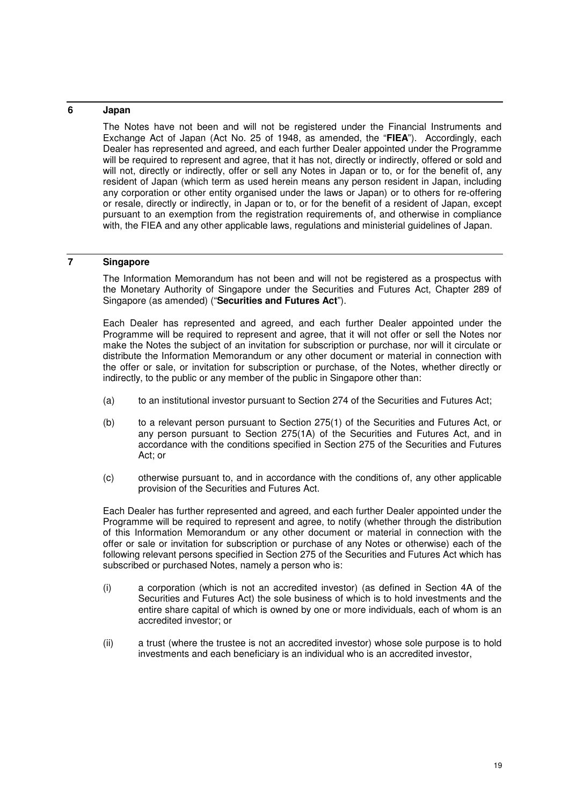## **6 Japan**

The Notes have not been and will not be registered under the Financial Instruments and Exchange Act of Japan (Act No. 25 of 1948, as amended, the "**FIEA**"). Accordingly, each Dealer has represented and agreed, and each further Dealer appointed under the Programme will be required to represent and agree, that it has not, directly or indirectly, offered or sold and will not, directly or indirectly, offer or sell any Notes in Japan or to, or for the benefit of, any resident of Japan (which term as used herein means any person resident in Japan, including any corporation or other entity organised under the laws or Japan) or to others for re-offering or resale, directly or indirectly, in Japan or to, or for the benefit of a resident of Japan, except pursuant to an exemption from the registration requirements of, and otherwise in compliance with, the FIEA and any other applicable laws, regulations and ministerial guidelines of Japan.

## **7 Singapore**

The Information Memorandum has not been and will not be registered as a prospectus with the Monetary Authority of Singapore under the Securities and Futures Act, Chapter 289 of Singapore (as amended) ("**Securities and Futures Act**").

Each Dealer has represented and agreed, and each further Dealer appointed under the Programme will be required to represent and agree, that it will not offer or sell the Notes nor make the Notes the subject of an invitation for subscription or purchase, nor will it circulate or distribute the Information Memorandum or any other document or material in connection with the offer or sale, or invitation for subscription or purchase, of the Notes, whether directly or indirectly, to the public or any member of the public in Singapore other than:

- (a) to an institutional investor pursuant to Section 274 of the Securities and Futures Act;
- (b) to a relevant person pursuant to Section 275(1) of the Securities and Futures Act, or any person pursuant to Section 275(1A) of the Securities and Futures Act, and in accordance with the conditions specified in Section 275 of the Securities and Futures Act; or
- (c) otherwise pursuant to, and in accordance with the conditions of, any other applicable provision of the Securities and Futures Act.

Each Dealer has further represented and agreed, and each further Dealer appointed under the Programme will be required to represent and agree, to notify (whether through the distribution of this Information Memorandum or any other document or material in connection with the offer or sale or invitation for subscription or purchase of any Notes or otherwise) each of the following relevant persons specified in Section 275 of the Securities and Futures Act which has subscribed or purchased Notes, namely a person who is:

- (i) a corporation (which is not an accredited investor) (as defined in Section 4A of the Securities and Futures Act) the sole business of which is to hold investments and the entire share capital of which is owned by one or more individuals, each of whom is an accredited investor; or
- (ii) a trust (where the trustee is not an accredited investor) whose sole purpose is to hold investments and each beneficiary is an individual who is an accredited investor,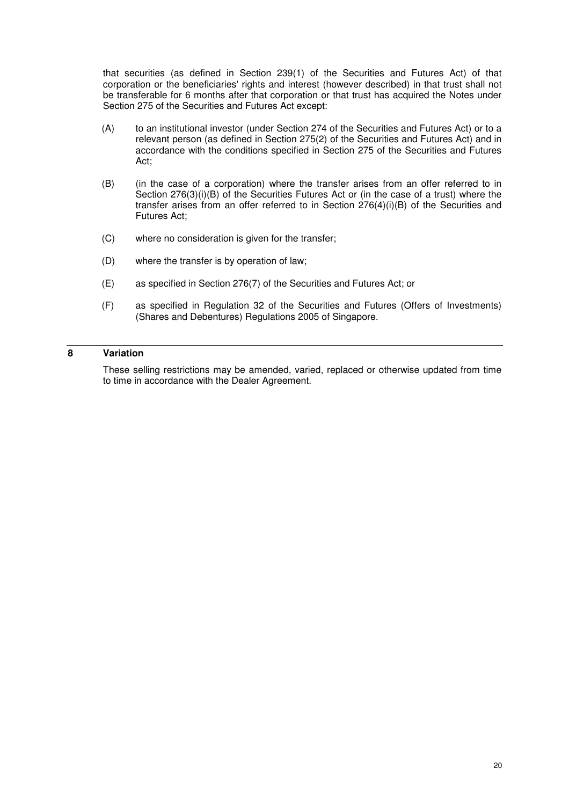that securities (as defined in Section 239(1) of the Securities and Futures Act) of that corporation or the beneficiaries' rights and interest (however described) in that trust shall not be transferable for 6 months after that corporation or that trust has acquired the Notes under Section 275 of the Securities and Futures Act except:

- (A) to an institutional investor (under Section 274 of the Securities and Futures Act) or to a relevant person (as defined in Section 275(2) of the Securities and Futures Act) and in accordance with the conditions specified in Section 275 of the Securities and Futures Act;
- (B) (in the case of a corporation) where the transfer arises from an offer referred to in Section 276(3)(i)(B) of the Securities Futures Act or (in the case of a trust) where the transfer arises from an offer referred to in Section 276(4)(i)(B) of the Securities and Futures Act;
- (C) where no consideration is given for the transfer;
- (D) where the transfer is by operation of law;
- (E) as specified in Section 276(7) of the Securities and Futures Act; or
- (F) as specified in Regulation 32 of the Securities and Futures (Offers of Investments) (Shares and Debentures) Regulations 2005 of Singapore.

#### **8 Variation**

These selling restrictions may be amended, varied, replaced or otherwise updated from time to time in accordance with the Dealer Agreement.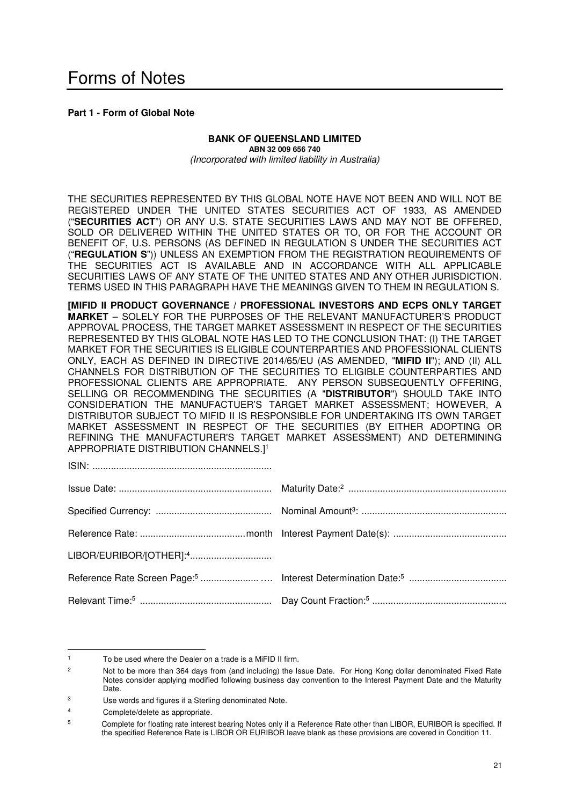**Part 1 - Form of Global Note**

#### **BANK OF QUEENSLAND LIMITED ABN 32 009 656 740**  *(Incorporated with limited liability in Australia)*

THE SECURITIES REPRESENTED BY THIS GLOBAL NOTE HAVE NOT BEEN AND WILL NOT BE REGISTERED UNDER THE UNITED STATES SECURITIES ACT OF 1933, AS AMENDED ("**SECURITIES ACT**") OR ANY U.S. STATE SECURITIES LAWS AND MAY NOT BE OFFERED, SOLD OR DELIVERED WITHIN THE UNITED STATES OR TO, OR FOR THE ACCOUNT OR BENEFIT OF, U.S. PERSONS (AS DEFINED IN REGULATION S UNDER THE SECURITIES ACT ("**REGULATION S**")) UNLESS AN EXEMPTION FROM THE REGISTRATION REQUIREMENTS OF THE SECURITIES ACT IS AVAILABLE AND IN ACCORDANCE WITH ALL APPLICABLE SECURITIES LAWS OF ANY STATE OF THE UNITED STATES AND ANY OTHER JURISDICTION. TERMS USED IN THIS PARAGRAPH HAVE THE MEANINGS GIVEN TO THEM IN REGULATION S.

**[MIFID II PRODUCT GOVERNANCE / PROFESSIONAL INVESTORS AND ECPS ONLY TARGET MARKET** – SOLELY FOR THE PURPOSES OF THE RELEVANT MANUFACTURER'S PRODUCT APPROVAL PROCESS, THE TARGET MARKET ASSESSMENT IN RESPECT OF THE SECURITIES REPRESENTED BY THIS GLOBAL NOTE HAS LED TO THE CONCLUSION THAT: (I) THE TARGET MARKET FOR THE SECURITIES IS ELIGIBLE COUNTERPARTIES AND PROFESSIONAL CLIENTS ONLY, EACH AS DEFINED IN DIRECTIVE 2014/65/EU (AS AMENDED, "**MIFID II**"); AND (II) ALL CHANNELS FOR DISTRIBUTION OF THE SECURITIES TO ELIGIBLE COUNTERPARTIES AND PROFESSIONAL CLIENTS ARE APPROPRIATE. ANY PERSON SUBSEQUENTLY OFFERING, SELLING OR RECOMMENDING THE SECURITIES (A "**DISTRIBUTOR**") SHOULD TAKE INTO CONSIDERATION THE MANUFACTUER'S TARGET MARKET ASSESSMENT; HOWEVER, A DISTRIBUTOR SUBJECT TO MIFID II IS RESPONSIBLE FOR UNDERTAKING ITS OWN TARGET MARKET ASSESSMENT IN RESPECT OF THE SECURITIES (BY EITHER ADOPTING OR REFINING THE MANUFACTURER'S TARGET MARKET ASSESSMENT) AND DETERMINING APPROPRIATE DISTRIBUTION CHANNELS.]<sup>1</sup>

ISIN: ....................................................................

l

<sup>1</sup> To be used where the Dealer on a trade is a MiFID II firm.

 $\overline{2}$  Not to be more than 364 days from (and including) the Issue Date. For Hong Kong dollar denominated Fixed Rate Notes consider applying modified following business day convention to the Interest Payment Date and the Maturity Date.

<sup>3</sup> Use words and figures if a Sterling denominated Note.

<sup>4</sup> Complete/delete as appropriate.

<sup>5</sup> Complete for floating rate interest bearing Notes only if a Reference Rate other than LIBOR, EURIBOR is specified. If the specified Reference Rate is LIBOR OR EURIBOR leave blank as these provisions are covered in Condition 11.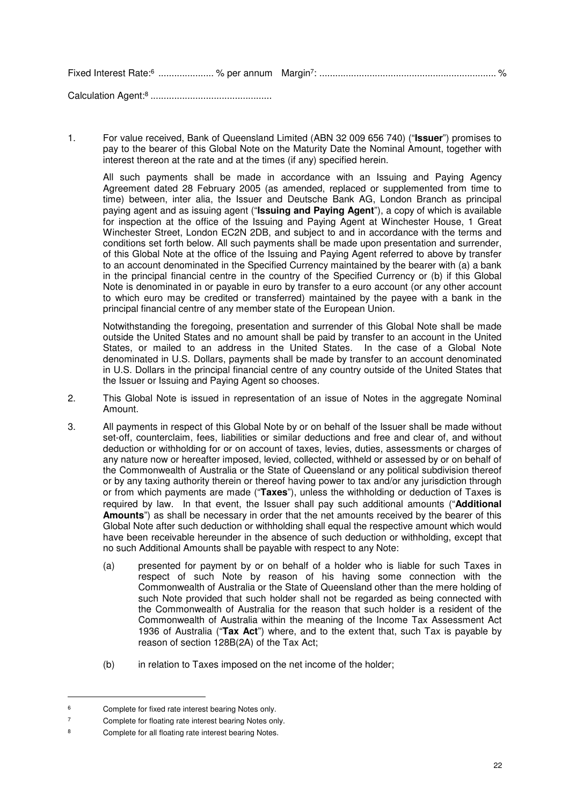Calculation Agent:<sup>8</sup> ..............................................

1. For value received, Bank of Queensland Limited (ABN 32 009 656 740) ("**Issuer**") promises to pay to the bearer of this Global Note on the Maturity Date the Nominal Amount, together with interest thereon at the rate and at the times (if any) specified herein.

All such payments shall be made in accordance with an Issuing and Paving Agency Agreement dated 28 February 2005 (as amended, replaced or supplemented from time to time) between, inter alia, the Issuer and Deutsche Bank AG, London Branch as principal paying agent and as issuing agent ("**Issuing and Paying Agent**"), a copy of which is available for inspection at the office of the Issuing and Paying Agent at Winchester House, 1 Great Winchester Street, London EC2N 2DB, and subject to and in accordance with the terms and conditions set forth below. All such payments shall be made upon presentation and surrender, of this Global Note at the office of the Issuing and Paying Agent referred to above by transfer to an account denominated in the Specified Currency maintained by the bearer with (a) a bank in the principal financial centre in the country of the Specified Currency or (b) if this Global Note is denominated in or payable in euro by transfer to a euro account (or any other account to which euro may be credited or transferred) maintained by the payee with a bank in the principal financial centre of any member state of the European Union.

Notwithstanding the foregoing, presentation and surrender of this Global Note shall be made outside the United States and no amount shall be paid by transfer to an account in the United States, or mailed to an address in the United States. In the case of a Global Note denominated in U.S. Dollars, payments shall be made by transfer to an account denominated in U.S. Dollars in the principal financial centre of any country outside of the United States that the Issuer or Issuing and Paying Agent so chooses.

- 2. This Global Note is issued in representation of an issue of Notes in the aggregate Nominal Amount.
- 3. All payments in respect of this Global Note by or on behalf of the Issuer shall be made without set-off, counterclaim, fees, liabilities or similar deductions and free and clear of, and without deduction or withholding for or on account of taxes, levies, duties, assessments or charges of any nature now or hereafter imposed, levied, collected, withheld or assessed by or on behalf of the Commonwealth of Australia or the State of Queensland or any political subdivision thereof or by any taxing authority therein or thereof having power to tax and/or any jurisdiction through or from which payments are made ("**Taxes**"), unless the withholding or deduction of Taxes is required by law. In that event, the Issuer shall pay such additional amounts ("**Additional Amounts**") as shall be necessary in order that the net amounts received by the bearer of this Global Note after such deduction or withholding shall equal the respective amount which would have been receivable hereunder in the absence of such deduction or withholding, except that no such Additional Amounts shall be payable with respect to any Note:
	- (a) presented for payment by or on behalf of a holder who is liable for such Taxes in respect of such Note by reason of his having some connection with the Commonwealth of Australia or the State of Queensland other than the mere holding of such Note provided that such holder shall not be regarded as being connected with the Commonwealth of Australia for the reason that such holder is a resident of the Commonwealth of Australia within the meaning of the Income Tax Assessment Act 1936 of Australia ("**Tax Act**") where, and to the extent that, such Tax is payable by reason of section 128B(2A) of the Tax Act;
	- (b) in relation to Taxes imposed on the net income of the holder;

l

<sup>6</sup> Complete for fixed rate interest bearing Notes only.

<sup>7</sup> Complete for floating rate interest bearing Notes only.

<sup>8</sup> Complete for all floating rate interest bearing Notes.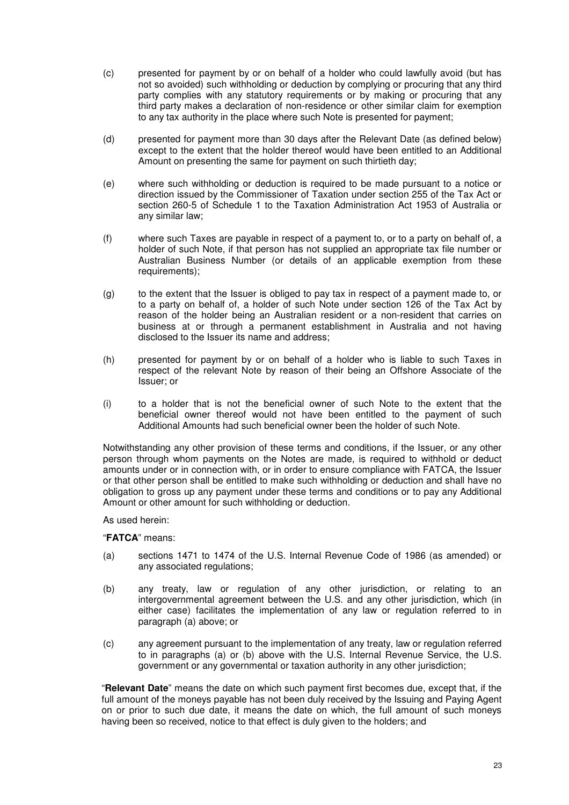- (c) presented for payment by or on behalf of a holder who could lawfully avoid (but has not so avoided) such withholding or deduction by complying or procuring that any third party complies with any statutory requirements or by making or procuring that any third party makes a declaration of non-residence or other similar claim for exemption to any tax authority in the place where such Note is presented for payment;
- (d) presented for payment more than 30 days after the Relevant Date (as defined below) except to the extent that the holder thereof would have been entitled to an Additional Amount on presenting the same for payment on such thirtieth day;
- (e) where such withholding or deduction is required to be made pursuant to a notice or direction issued by the Commissioner of Taxation under section 255 of the Tax Act or section 260-5 of Schedule 1 to the Taxation Administration Act 1953 of Australia or any similar law;
- (f) where such Taxes are payable in respect of a payment to, or to a party on behalf of, a holder of such Note, if that person has not supplied an appropriate tax file number or Australian Business Number (or details of an applicable exemption from these requirements);
- (g) to the extent that the Issuer is obliged to pay tax in respect of a payment made to, or to a party on behalf of, a holder of such Note under section 126 of the Tax Act by reason of the holder being an Australian resident or a non-resident that carries on business at or through a permanent establishment in Australia and not having disclosed to the Issuer its name and address;
- (h) presented for payment by or on behalf of a holder who is liable to such Taxes in respect of the relevant Note by reason of their being an Offshore Associate of the Issuer; or
- (i) to a holder that is not the beneficial owner of such Note to the extent that the beneficial owner thereof would not have been entitled to the payment of such Additional Amounts had such beneficial owner been the holder of such Note.

Notwithstanding any other provision of these terms and conditions, if the Issuer, or any other person through whom payments on the Notes are made, is required to withhold or deduct amounts under or in connection with, or in order to ensure compliance with FATCA, the Issuer or that other person shall be entitled to make such withholding or deduction and shall have no obligation to gross up any payment under these terms and conditions or to pay any Additional Amount or other amount for such withholding or deduction.

As used herein:

"**FATCA**" means:

- (a) sections 1471 to 1474 of the U.S. Internal Revenue Code of 1986 (as amended) or any associated regulations;
- (b) any treaty, law or regulation of any other jurisdiction, or relating to an intergovernmental agreement between the U.S. and any other jurisdiction, which (in either case) facilitates the implementation of any law or regulation referred to in paragraph (a) above; or
- (c) any agreement pursuant to the implementation of any treaty, law or regulation referred to in paragraphs (a) or (b) above with the U.S. Internal Revenue Service, the U.S. government or any governmental or taxation authority in any other jurisdiction;

"**Relevant Date**" means the date on which such payment first becomes due, except that, if the full amount of the moneys payable has not been duly received by the Issuing and Paying Agent on or prior to such due date, it means the date on which, the full amount of such moneys having been so received, notice to that effect is duly given to the holders; and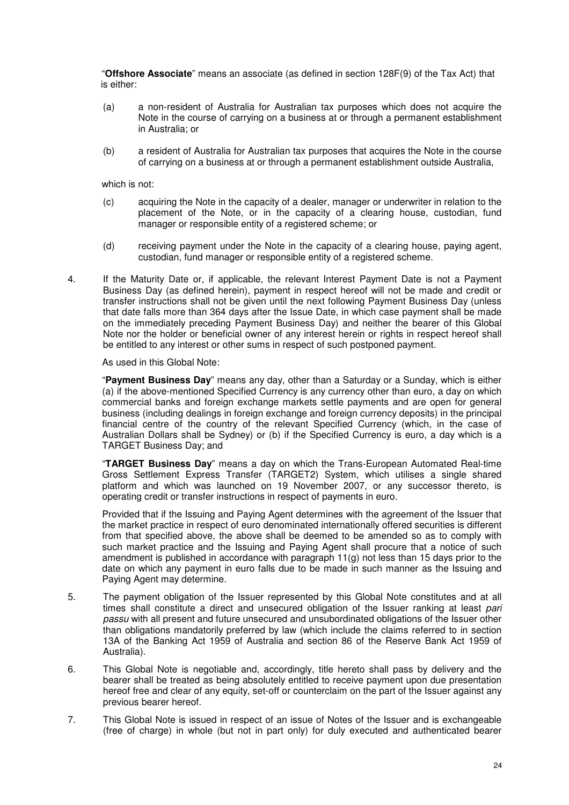"**Offshore Associate**" means an associate (as defined in section 128F(9) of the Tax Act) that is either:

- (a) a non-resident of Australia for Australian tax purposes which does not acquire the Note in the course of carrying on a business at or through a permanent establishment in Australia; or
- (b) a resident of Australia for Australian tax purposes that acquires the Note in the course of carrying on a business at or through a permanent establishment outside Australia,

which is not:

- (c) acquiring the Note in the capacity of a dealer, manager or underwriter in relation to the placement of the Note, or in the capacity of a clearing house, custodian, fund manager or responsible entity of a registered scheme; or
- (d) receiving payment under the Note in the capacity of a clearing house, paying agent, custodian, fund manager or responsible entity of a registered scheme.
- 4. If the Maturity Date or, if applicable, the relevant Interest Payment Date is not a Payment Business Day (as defined herein), payment in respect hereof will not be made and credit or transfer instructions shall not be given until the next following Payment Business Day (unless that date falls more than 364 days after the Issue Date, in which case payment shall be made on the immediately preceding Payment Business Day) and neither the bearer of this Global Note nor the holder or beneficial owner of any interest herein or rights in respect hereof shall be entitled to any interest or other sums in respect of such postponed payment.

#### As used in this Global Note:

"**Payment Business Day**" means any day, other than a Saturday or a Sunday, which is either (a) if the above-mentioned Specified Currency is any currency other than euro, a day on which commercial banks and foreign exchange markets settle payments and are open for general business (including dealings in foreign exchange and foreign currency deposits) in the principal financial centre of the country of the relevant Specified Currency (which, in the case of Australian Dollars shall be Sydney) or (b) if the Specified Currency is euro, a day which is a TARGET Business Day; and

"**TARGET Business Day**" means a day on which the Trans-European Automated Real-time Gross Settlement Express Transfer (TARGET2) System, which utilises a single shared platform and which was launched on 19 November 2007, or any successor thereto, is operating credit or transfer instructions in respect of payments in euro.

Provided that if the Issuing and Paying Agent determines with the agreement of the Issuer that the market practice in respect of euro denominated internationally offered securities is different from that specified above, the above shall be deemed to be amended so as to comply with such market practice and the Issuing and Paying Agent shall procure that a notice of such amendment is published in accordance with paragraph 11(g) not less than 15 days prior to the date on which any payment in euro falls due to be made in such manner as the Issuing and Paying Agent may determine.

- 5. The payment obligation of the Issuer represented by this Global Note constitutes and at all times shall constitute a direct and unsecured obligation of the Issuer ranking at least *pari passu* with all present and future unsecured and unsubordinated obligations of the Issuer other than obligations mandatorily preferred by law (which include the claims referred to in section 13A of the Banking Act 1959 of Australia and section 86 of the Reserve Bank Act 1959 of Australia).
- 6. This Global Note is negotiable and, accordingly, title hereto shall pass by delivery and the bearer shall be treated as being absolutely entitled to receive payment upon due presentation hereof free and clear of any equity, set-off or counterclaim on the part of the Issuer against any previous bearer hereof.
- 7. This Global Note is issued in respect of an issue of Notes of the Issuer and is exchangeable (free of charge) in whole (but not in part only) for duly executed and authenticated bearer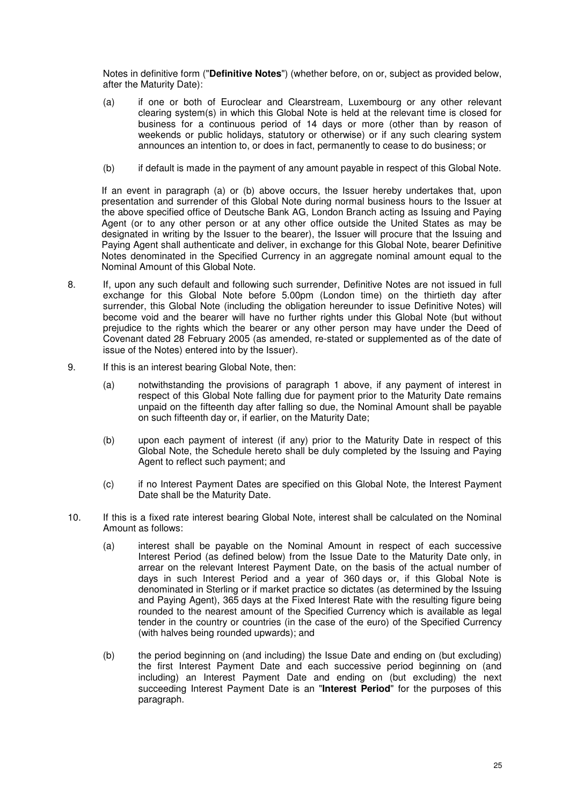Notes in definitive form ("**Definitive Notes**") (whether before, on or, subject as provided below, after the Maturity Date):

- (a) if one or both of Euroclear and Clearstream, Luxembourg or any other relevant clearing system(s) in which this Global Note is held at the relevant time is closed for business for a continuous period of 14 days or more (other than by reason of weekends or public holidays, statutory or otherwise) or if any such clearing system announces an intention to, or does in fact, permanently to cease to do business; or
- (b) if default is made in the payment of any amount payable in respect of this Global Note.

If an event in paragraph (a) or (b) above occurs, the Issuer hereby undertakes that, upon presentation and surrender of this Global Note during normal business hours to the Issuer at the above specified office of Deutsche Bank AG, London Branch acting as Issuing and Paying Agent (or to any other person or at any other office outside the United States as may be designated in writing by the Issuer to the bearer), the Issuer will procure that the Issuing and Paying Agent shall authenticate and deliver, in exchange for this Global Note, bearer Definitive Notes denominated in the Specified Currency in an aggregate nominal amount equal to the Nominal Amount of this Global Note.

- 8. If, upon any such default and following such surrender, Definitive Notes are not issued in full exchange for this Global Note before 5.00pm (London time) on the thirtieth day after surrender, this Global Note (including the obligation hereunder to issue Definitive Notes) will become void and the bearer will have no further rights under this Global Note (but without prejudice to the rights which the bearer or any other person may have under the Deed of Covenant dated 28 February 2005 (as amended, re-stated or supplemented as of the date of issue of the Notes) entered into by the Issuer).
- 9. If this is an interest bearing Global Note, then:
	- (a) notwithstanding the provisions of paragraph 1 above, if any payment of interest in respect of this Global Note falling due for payment prior to the Maturity Date remains unpaid on the fifteenth day after falling so due, the Nominal Amount shall be payable on such fifteenth day or, if earlier, on the Maturity Date;
	- (b) upon each payment of interest (if any) prior to the Maturity Date in respect of this Global Note, the Schedule hereto shall be duly completed by the Issuing and Paying Agent to reflect such payment; and
	- (c) if no Interest Payment Dates are specified on this Global Note, the Interest Payment Date shall be the Maturity Date.
- 10. If this is a fixed rate interest bearing Global Note, interest shall be calculated on the Nominal Amount as follows:
	- (a) interest shall be payable on the Nominal Amount in respect of each successive Interest Period (as defined below) from the Issue Date to the Maturity Date only, in arrear on the relevant Interest Payment Date, on the basis of the actual number of days in such Interest Period and a year of 360 days or, if this Global Note is denominated in Sterling or if market practice so dictates (as determined by the Issuing and Paying Agent), 365 days at the Fixed Interest Rate with the resulting figure being rounded to the nearest amount of the Specified Currency which is available as legal tender in the country or countries (in the case of the euro) of the Specified Currency (with halves being rounded upwards); and
	- (b) the period beginning on (and including) the Issue Date and ending on (but excluding) the first Interest Payment Date and each successive period beginning on (and including) an Interest Payment Date and ending on (but excluding) the next succeeding Interest Payment Date is an "**Interest Period**" for the purposes of this paragraph.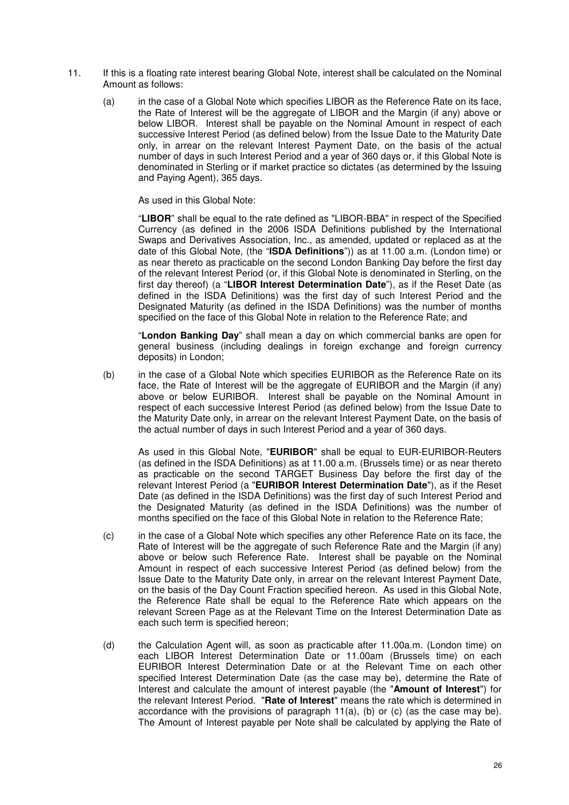- 11. If this is a floating rate interest bearing Global Note, interest shall be calculated on the Nominal Amount as follows:
	- (a) in the case of a Global Note which specifies LIBOR as the Reference Rate on its face, the Rate of Interest will be the aggregate of LIBOR and the Margin (if any) above or below LIBOR. Interest shall be payable on the Nominal Amount in respect of each successive Interest Period (as defined below) from the Issue Date to the Maturity Date only, in arrear on the relevant Interest Payment Date, on the basis of the actual number of days in such Interest Period and a year of 360 days or, if this Global Note is denominated in Sterling or if market practice so dictates (as determined by the Issuing and Paying Agent), 365 days.

As used in this Global Note:

"**LIBOR**" shall be equal to the rate defined as "LIBOR-BBA" in respect of the Specified Currency (as defined in the 2006 ISDA Definitions published by the International Swaps and Derivatives Association, Inc., as amended, updated or replaced as at the date of this Global Note, (the "**ISDA Definitions**")) as at 11.00 a.m. (London time) or as near thereto as practicable on the second London Banking Day before the first day of the relevant Interest Period (or, if this Global Note is denominated in Sterling, on the first day thereof) (a "**LIBOR Interest Determination Date**"), as if the Reset Date (as defined in the ISDA Definitions) was the first day of such Interest Period and the Designated Maturity (as defined in the ISDA Definitions) was the number of months specified on the face of this Global Note in relation to the Reference Rate; and

"**London Banking Day**" shall mean a day on which commercial banks are open for general business (including dealings in foreign exchange and foreign currency deposits) in London;

(b) in the case of a Global Note which specifies EURIBOR as the Reference Rate on its face, the Rate of Interest will be the aggregate of EURIBOR and the Margin (if any) above or below EURIBOR. Interest shall be payable on the Nominal Amount in respect of each successive Interest Period (as defined below) from the Issue Date to the Maturity Date only, in arrear on the relevant Interest Payment Date, on the basis of the actual number of days in such Interest Period and a year of 360 days.

As used in this Global Note, "**EURIBOR**" shall be equal to EUR-EURIBOR-Reuters (as defined in the ISDA Definitions) as at 11.00 a.m. (Brussels time) or as near thereto as practicable on the second TARGET Business Day before the first day of the relevant Interest Period (a "**EURIBOR Interest Determination Date**"), as if the Reset Date (as defined in the ISDA Definitions) was the first day of such Interest Period and the Designated Maturity (as defined in the ISDA Definitions) was the number of months specified on the face of this Global Note in relation to the Reference Rate;

- (c) in the case of a Global Note which specifies any other Reference Rate on its face, the Rate of Interest will be the aggregate of such Reference Rate and the Margin (if any) above or below such Reference Rate. Interest shall be payable on the Nominal Amount in respect of each successive Interest Period (as defined below) from the Issue Date to the Maturity Date only, in arrear on the relevant Interest Payment Date, on the basis of the Day Count Fraction specified hereon. As used in this Global Note, the Reference Rate shall be equal to the Reference Rate which appears on the relevant Screen Page as at the Relevant Time on the Interest Determination Date as each such term is specified hereon;
- (d) the Calculation Agent will, as soon as practicable after 11.00a.m. (London time) on each LIBOR Interest Determination Date or 11.00am (Brussels time) on each EURIBOR Interest Determination Date or at the Relevant Time on each other specified Interest Determination Date (as the case may be), determine the Rate of Interest and calculate the amount of interest payable (the "**Amount of Interest**") for the relevant Interest Period. "**Rate of Interest**" means the rate which is determined in accordance with the provisions of paragraph  $11(a)$ , (b) or (c) (as the case may be). The Amount of Interest payable per Note shall be calculated by applying the Rate of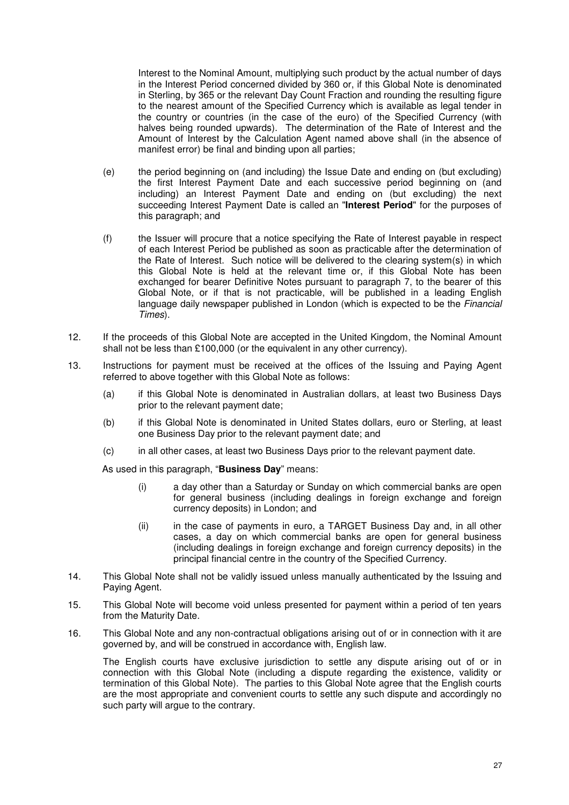Interest to the Nominal Amount, multiplying such product by the actual number of days in the Interest Period concerned divided by 360 or, if this Global Note is denominated in Sterling, by 365 or the relevant Day Count Fraction and rounding the resulting figure to the nearest amount of the Specified Currency which is available as legal tender in the country or countries (in the case of the euro) of the Specified Currency (with halves being rounded upwards). The determination of the Rate of Interest and the Amount of Interest by the Calculation Agent named above shall (in the absence of manifest error) be final and binding upon all parties;

- (e) the period beginning on (and including) the Issue Date and ending on (but excluding) the first Interest Payment Date and each successive period beginning on (and including) an Interest Payment Date and ending on (but excluding) the next succeeding Interest Payment Date is called an "**Interest Period**" for the purposes of this paragraph; and
- (f) the Issuer will procure that a notice specifying the Rate of Interest payable in respect of each Interest Period be published as soon as practicable after the determination of the Rate of Interest. Such notice will be delivered to the clearing system(s) in which this Global Note is held at the relevant time or, if this Global Note has been exchanged for bearer Definitive Notes pursuant to paragraph 7, to the bearer of this Global Note, or if that is not practicable, will be published in a leading English language daily newspaper published in London (which is expected to be the *Financial Times*).
- 12. If the proceeds of this Global Note are accepted in the United Kingdom, the Nominal Amount shall not be less than £100,000 (or the equivalent in any other currency).
- 13. Instructions for payment must be received at the offices of the Issuing and Paying Agent referred to above together with this Global Note as follows:
	- (a) if this Global Note is denominated in Australian dollars, at least two Business Days prior to the relevant payment date;
	- (b) if this Global Note is denominated in United States dollars, euro or Sterling, at least one Business Day prior to the relevant payment date; and
	- (c) in all other cases, at least two Business Days prior to the relevant payment date.

As used in this paragraph, "**Business Day**" means:

- (i) a day other than a Saturday or Sunday on which commercial banks are open for general business (including dealings in foreign exchange and foreign currency deposits) in London; and
- (ii) in the case of payments in euro, a TARGET Business Day and, in all other cases, a day on which commercial banks are open for general business (including dealings in foreign exchange and foreign currency deposits) in the principal financial centre in the country of the Specified Currency.
- 14. This Global Note shall not be validly issued unless manually authenticated by the Issuing and Paying Agent.
- 15. This Global Note will become void unless presented for payment within a period of ten years from the Maturity Date.
- 16. This Global Note and any non-contractual obligations arising out of or in connection with it are governed by, and will be construed in accordance with, English law.

The English courts have exclusive jurisdiction to settle any dispute arising out of or in connection with this Global Note (including a dispute regarding the existence, validity or termination of this Global Note). The parties to this Global Note agree that the English courts are the most appropriate and convenient courts to settle any such dispute and accordingly no such party will argue to the contrary.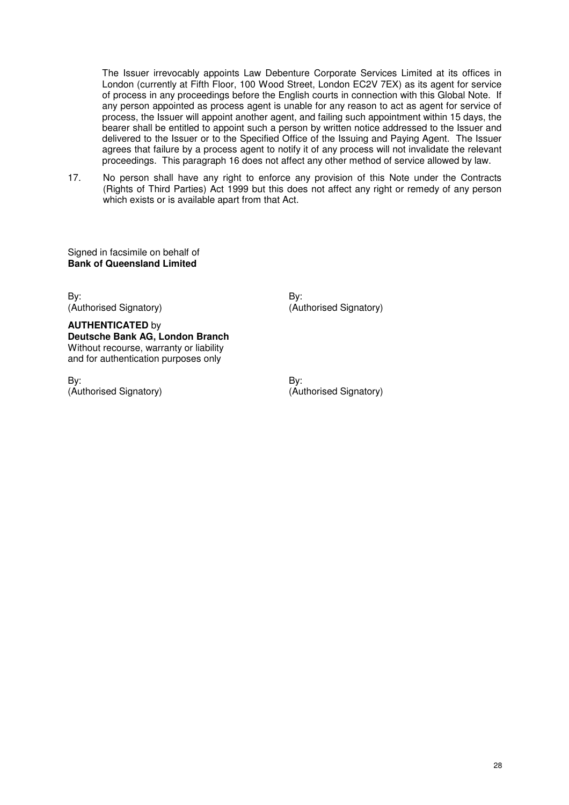The Issuer irrevocably appoints Law Debenture Corporate Services Limited at its offices in London (currently at Fifth Floor, 100 Wood Street, London EC2V 7EX) as its agent for service of process in any proceedings before the English courts in connection with this Global Note. If any person appointed as process agent is unable for any reason to act as agent for service of process, the Issuer will appoint another agent, and failing such appointment within 15 days, the bearer shall be entitled to appoint such a person by written notice addressed to the Issuer and delivered to the Issuer or to the Specified Office of the Issuing and Paying Agent. The Issuer agrees that failure by a process agent to notify it of any process will not invalidate the relevant proceedings. This paragraph 16 does not affect any other method of service allowed by law.

17. No person shall have any right to enforce any provision of this Note under the Contracts (Rights of Third Parties) Act 1999 but this does not affect any right or remedy of any person which exists or is available apart from that Act.

Signed in facsimile on behalf of **Bank of Queensland Limited** 

By: By: (Authorised Signatory) (Authorised Signatory)

**AUTHENTICATED** by **Deutsche Bank AG, London Branch**  Without recourse, warranty or liability and for authentication purposes only

By: By: (Authorised Signatory) (Authorised Signatory)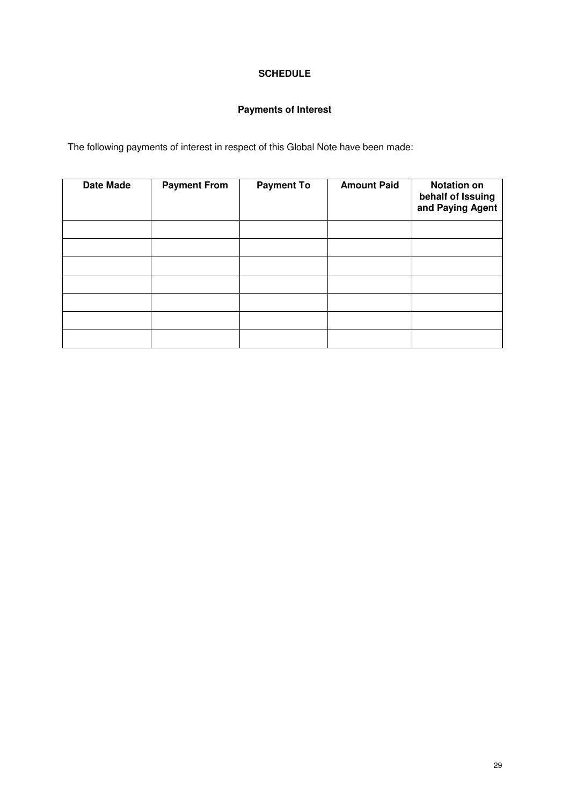## **SCHEDULE**

## **Payments of Interest**

The following payments of interest in respect of this Global Note have been made:

| <b>Date Made</b> | <b>Payment From</b> | <b>Payment To</b> | <b>Amount Paid</b> | <b>Notation on</b><br>behalf of Issuing<br>and Paying Agent |
|------------------|---------------------|-------------------|--------------------|-------------------------------------------------------------|
|                  |                     |                   |                    |                                                             |
|                  |                     |                   |                    |                                                             |
|                  |                     |                   |                    |                                                             |
|                  |                     |                   |                    |                                                             |
|                  |                     |                   |                    |                                                             |
|                  |                     |                   |                    |                                                             |
|                  |                     |                   |                    |                                                             |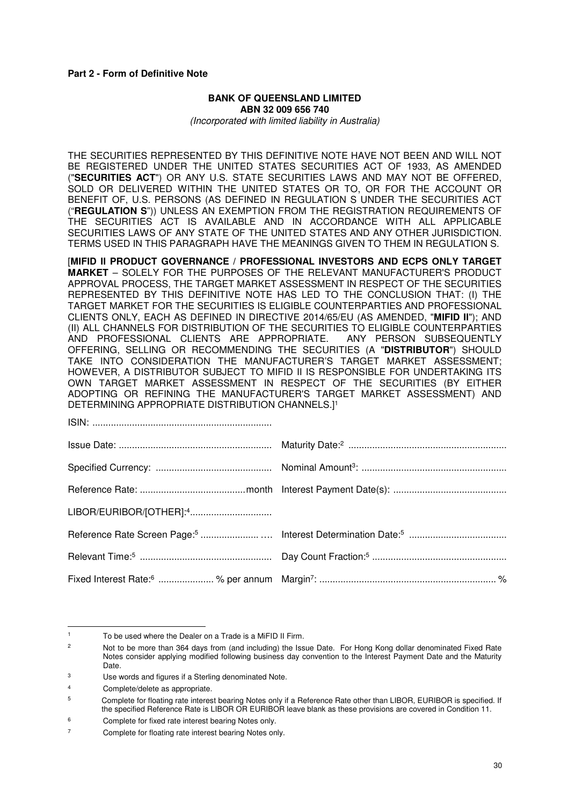#### **Part 2 - Form of Definitive Note**

#### **BANK OF QUEENSLAND LIMITED ABN 32 009 656 740**  *(Incorporated with limited liability in Australia)*

THE SECURITIES REPRESENTED BY THIS DEFINITIVE NOTE HAVE NOT BEEN AND WILL NOT BE REGISTERED UNDER THE UNITED STATES SECURITIES ACT OF 1933, AS AMENDED ("**SECURITIES ACT**") OR ANY U.S. STATE SECURITIES LAWS AND MAY NOT BE OFFERED, SOLD OR DELIVERED WITHIN THE UNITED STATES OR TO, OR FOR THE ACCOUNT OR BENEFIT OF, U.S. PERSONS (AS DEFINED IN REGULATION S UNDER THE SECURITIES ACT ("**REGULATION S**")) UNLESS AN EXEMPTION FROM THE REGISTRATION REQUIREMENTS OF THE SECURITIES ACT IS AVAILABLE AND IN ACCORDANCE WITH ALL APPLICABLE SECURITIES LAWS OF ANY STATE OF THE UNITED STATES AND ANY OTHER JURISDICTION. TERMS USED IN THIS PARAGRAPH HAVE THE MEANINGS GIVEN TO THEM IN REGULATION S.

[**MIFID II PRODUCT GOVERNANCE / PROFESSIONAL INVESTORS AND ECPS ONLY TARGET MARKET** – SOLELY FOR THE PURPOSES OF THE RELEVANT MANUFACTURER'S PRODUCT APPROVAL PROCESS, THE TARGET MARKET ASSESSMENT IN RESPECT OF THE SECURITIES REPRESENTED BY THIS DEFINITIVE NOTE HAS LED TO THE CONCLUSION THAT: (I) THE TARGET MARKET FOR THE SECURITIES IS ELIGIBLE COUNTERPARTIES AND PROFESSIONAL CLIENTS ONLY, EACH AS DEFINED IN DIRECTIVE 2014/65/EU (AS AMENDED, "**MIFID II**"); AND (II) ALL CHANNELS FOR DISTRIBUTION OF THE SECURITIES TO ELIGIBLE COUNTERPARTIES<br>AND PROFESSIONAL CLIENTS ARE APPROPRIATE. ANY PERSON SUBSEQUENTLY AND PROFESSIONAL CLIENTS ARE APPROPRIATE. OFFERING, SELLING OR RECOMMENDING THE SECURITIES (A "**DISTRIBUTOR**") SHOULD TAKE INTO CONSIDERATION THE MANUFACTURER'S TARGET MARKET ASSESSMENT; HOWEVER, A DISTRIBUTOR SUBJECT TO MIFID II IS RESPONSIBLE FOR UNDERTAKING ITS OWN TARGET MARKET ASSESSMENT IN RESPECT OF THE SECURITIES (BY EITHER ADOPTING OR REFINING THE MANUFACTURER'S TARGET MARKET ASSESSMENT) AND DETERMINING APPROPRIATE DISTRIBUTION CHANNELS.<sup>11</sup>

l

<sup>1</sup> To be used where the Dealer on a Trade is a MiFID II Firm.

<sup>2</sup> Not to be more than 364 days from (and including) the Issue Date. For Hong Kong dollar denominated Fixed Rate Notes consider applying modified following business day convention to the Interest Payment Date and the Maturity Date.

<sup>3</sup> Use words and figures if a Sterling denominated Note.

<sup>4</sup> Complete/delete as appropriate.

<sup>5</sup> Complete for floating rate interest bearing Notes only if a Reference Rate other than LIBOR, EURIBOR is specified. If the specified Reference Rate is LIBOR OR EURIBOR leave blank as these provisions are covered in Condition 11.

<sup>6</sup> Complete for fixed rate interest bearing Notes only.

<sup>7</sup> Complete for floating rate interest bearing Notes only.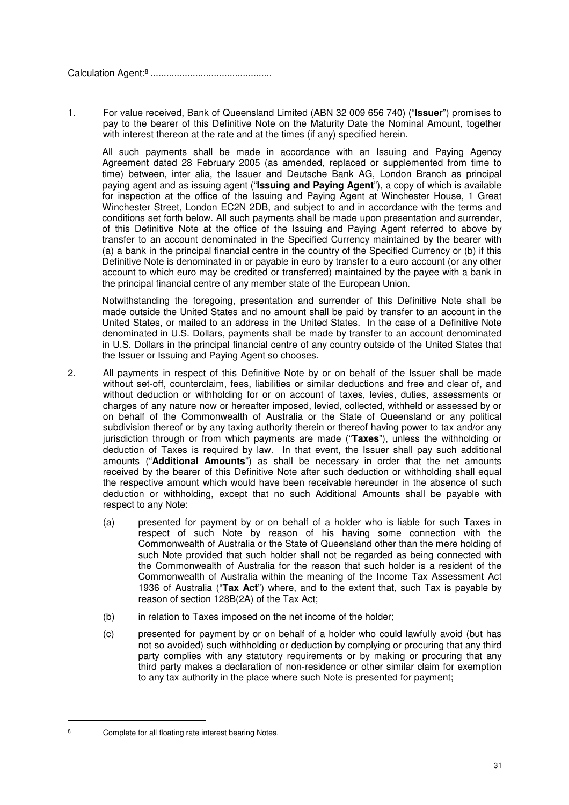Calculation Agent:<sup>8</sup> ..............................................

1. For value received, Bank of Queensland Limited (ABN 32 009 656 740) ("**Issuer**") promises to pay to the bearer of this Definitive Note on the Maturity Date the Nominal Amount, together with interest thereon at the rate and at the times (if any) specified herein.

 All such payments shall be made in accordance with an Issuing and Paying Agency Agreement dated 28 February 2005 (as amended, replaced or supplemented from time to time) between, inter alia, the Issuer and Deutsche Bank AG, London Branch as principal paying agent and as issuing agent ("**Issuing and Paying Agent**"), a copy of which is available for inspection at the office of the Issuing and Paying Agent at Winchester House, 1 Great Winchester Street, London EC2N 2DB, and subject to and in accordance with the terms and conditions set forth below. All such payments shall be made upon presentation and surrender, of this Definitive Note at the office of the Issuing and Paying Agent referred to above by transfer to an account denominated in the Specified Currency maintained by the bearer with (a) a bank in the principal financial centre in the country of the Specified Currency or (b) if this Definitive Note is denominated in or payable in euro by transfer to a euro account (or any other account to which euro may be credited or transferred) maintained by the payee with a bank in the principal financial centre of any member state of the European Union.

 Notwithstanding the foregoing, presentation and surrender of this Definitive Note shall be made outside the United States and no amount shall be paid by transfer to an account in the United States, or mailed to an address in the United States. In the case of a Definitive Note denominated in U.S. Dollars, payments shall be made by transfer to an account denominated in U.S. Dollars in the principal financial centre of any country outside of the United States that the Issuer or Issuing and Paying Agent so chooses.

- 2. All payments in respect of this Definitive Note by or on behalf of the Issuer shall be made without set-off, counterclaim, fees, liabilities or similar deductions and free and clear of, and without deduction or withholding for or on account of taxes, levies, duties, assessments or charges of any nature now or hereafter imposed, levied, collected, withheld or assessed by or on behalf of the Commonwealth of Australia or the State of Queensland or any political subdivision thereof or by any taxing authority therein or thereof having power to tax and/or any jurisdiction through or from which payments are made ("**Taxes**"), unless the withholding or deduction of Taxes is required by law. In that event, the Issuer shall pay such additional amounts ("**Additional Amounts**") as shall be necessary in order that the net amounts received by the bearer of this Definitive Note after such deduction or withholding shall equal the respective amount which would have been receivable hereunder in the absence of such deduction or withholding, except that no such Additional Amounts shall be payable with respect to any Note:
	- (a) presented for payment by or on behalf of a holder who is liable for such Taxes in respect of such Note by reason of his having some connection with the Commonwealth of Australia or the State of Queensland other than the mere holding of such Note provided that such holder shall not be regarded as being connected with the Commonwealth of Australia for the reason that such holder is a resident of the Commonwealth of Australia within the meaning of the Income Tax Assessment Act 1936 of Australia ("**Tax Act**") where, and to the extent that, such Tax is payable by reason of section 128B(2A) of the Tax Act;
	- (b) in relation to Taxes imposed on the net income of the holder;
	- (c) presented for payment by or on behalf of a holder who could lawfully avoid (but has not so avoided) such withholding or deduction by complying or procuring that any third party complies with any statutory requirements or by making or procuring that any third party makes a declaration of non-residence or other similar claim for exemption to any tax authority in the place where such Note is presented for payment;

l 8

Complete for all floating rate interest bearing Notes.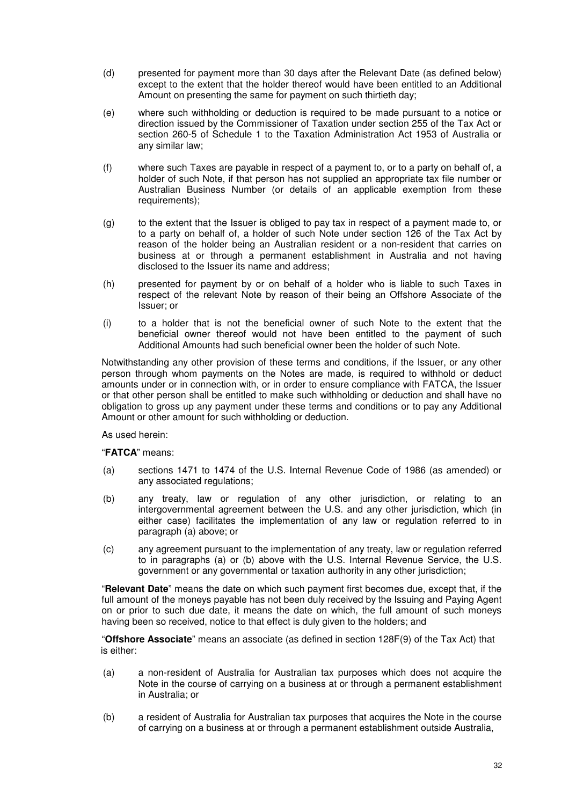- (d) presented for payment more than 30 days after the Relevant Date (as defined below) except to the extent that the holder thereof would have been entitled to an Additional Amount on presenting the same for payment on such thirtieth day;
- (e) where such withholding or deduction is required to be made pursuant to a notice or direction issued by the Commissioner of Taxation under section 255 of the Tax Act or section 260-5 of Schedule 1 to the Taxation Administration Act 1953 of Australia or any similar law;
- (f) where such Taxes are payable in respect of a payment to, or to a party on behalf of, a holder of such Note, if that person has not supplied an appropriate tax file number or Australian Business Number (or details of an applicable exemption from these requirements);
- (g) to the extent that the Issuer is obliged to pay tax in respect of a payment made to, or to a party on behalf of, a holder of such Note under section 126 of the Tax Act by reason of the holder being an Australian resident or a non-resident that carries on business at or through a permanent establishment in Australia and not having disclosed to the Issuer its name and address;
- (h) presented for payment by or on behalf of a holder who is liable to such Taxes in respect of the relevant Note by reason of their being an Offshore Associate of the Issuer; or
- (i) to a holder that is not the beneficial owner of such Note to the extent that the beneficial owner thereof would not have been entitled to the payment of such Additional Amounts had such beneficial owner been the holder of such Note.

Notwithstanding any other provision of these terms and conditions, if the Issuer, or any other person through whom payments on the Notes are made, is required to withhold or deduct amounts under or in connection with, or in order to ensure compliance with FATCA, the Issuer or that other person shall be entitled to make such withholding or deduction and shall have no obligation to gross up any payment under these terms and conditions or to pay any Additional Amount or other amount for such withholding or deduction.

As used herein:

#### "**FATCA**" means:

- (a) sections 1471 to 1474 of the U.S. Internal Revenue Code of 1986 (as amended) or any associated regulations;
- (b) any treaty, law or regulation of any other jurisdiction, or relating to an intergovernmental agreement between the U.S. and any other jurisdiction, which (in either case) facilitates the implementation of any law or regulation referred to in paragraph (a) above; or
- (c) any agreement pursuant to the implementation of any treaty, law or regulation referred to in paragraphs (a) or (b) above with the U.S. Internal Revenue Service, the U.S. government or any governmental or taxation authority in any other jurisdiction;

"**Relevant Date**" means the date on which such payment first becomes due, except that, if the full amount of the moneys payable has not been duly received by the Issuing and Paying Agent on or prior to such due date, it means the date on which, the full amount of such moneys having been so received, notice to that effect is duly given to the holders; and

"**Offshore Associate**" means an associate (as defined in section 128F(9) of the Tax Act) that is either:

- (a) a non-resident of Australia for Australian tax purposes which does not acquire the Note in the course of carrying on a business at or through a permanent establishment in Australia; or
- (b) a resident of Australia for Australian tax purposes that acquires the Note in the course of carrying on a business at or through a permanent establishment outside Australia,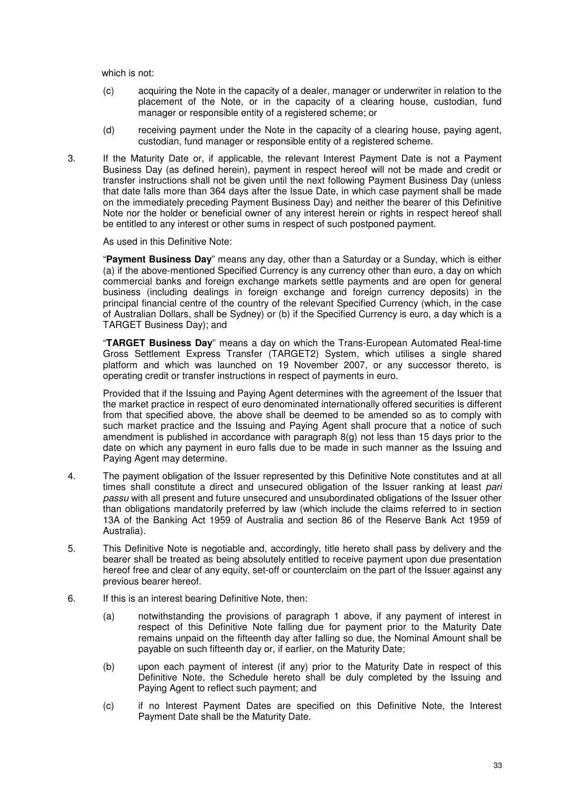which is not:

- (c) acquiring the Note in the capacity of a dealer, manager or underwriter in relation to the placement of the Note, or in the capacity of a clearing house, custodian, fund manager or responsible entity of a registered scheme; or
- (d) receiving payment under the Note in the capacity of a clearing house, paying agent, custodian, fund manager or responsible entity of a registered scheme.
- 3. If the Maturity Date or, if applicable, the relevant Interest Payment Date is not a Payment Business Day (as defined herein), payment in respect hereof will not be made and credit or transfer instructions shall not be given until the next following Payment Business Day (unless that date falls more than 364 days after the Issue Date, in which case payment shall be made on the immediately preceding Payment Business Day) and neither the bearer of this Definitive Note nor the holder or beneficial owner of any interest herein or rights in respect hereof shall be entitled to any interest or other sums in respect of such postponed payment.

As used in this Definitive Note:

"**Payment Business Day**" means any day, other than a Saturday or a Sunday, which is either (a) if the above-mentioned Specified Currency is any currency other than euro, a day on which commercial banks and foreign exchange markets settle payments and are open for general business (including dealings in foreign exchange and foreign currency deposits) in the principal financial centre of the country of the relevant Specified Currency (which, in the case of Australian Dollars, shall be Sydney) or (b) if the Specified Currency is euro, a day which is a TARGET Business Day); and

"**TARGET Business Day**" means a day on which the Trans-European Automated Real-time Gross Settlement Express Transfer (TARGET2) System, which utilises a single shared platform and which was launched on 19 November 2007, or any successor thereto, is operating credit or transfer instructions in respect of payments in euro.

Provided that if the Issuing and Paying Agent determines with the agreement of the Issuer that the market practice in respect of euro denominated internationally offered securities is different from that specified above, the above shall be deemed to be amended so as to comply with such market practice and the Issuing and Paying Agent shall procure that a notice of such amendment is published in accordance with paragraph 8(g) not less than 15 days prior to the date on which any payment in euro falls due to be made in such manner as the Issuing and Paying Agent may determine.

- 4. The payment obligation of the Issuer represented by this Definitive Note constitutes and at all times shall constitute a direct and unsecured obligation of the Issuer ranking at least *pari passu* with all present and future unsecured and unsubordinated obligations of the Issuer other than obligations mandatorily preferred by law (which include the claims referred to in section 13A of the Banking Act 1959 of Australia and section 86 of the Reserve Bank Act 1959 of Australia).
- 5. This Definitive Note is negotiable and, accordingly, title hereto shall pass by delivery and the bearer shall be treated as being absolutely entitled to receive payment upon due presentation hereof free and clear of any equity, set-off or counterclaim on the part of the Issuer against any previous bearer hereof.
- 6. If this is an interest bearing Definitive Note, then:
	- (a) notwithstanding the provisions of paragraph 1 above, if any payment of interest in respect of this Definitive Note falling due for payment prior to the Maturity Date remains unpaid on the fifteenth day after falling so due, the Nominal Amount shall be payable on such fifteenth day or, if earlier, on the Maturity Date;
	- (b) upon each payment of interest (if any) prior to the Maturity Date in respect of this Definitive Note, the Schedule hereto shall be duly completed by the Issuing and Paying Agent to reflect such payment; and
	- (c) if no Interest Payment Dates are specified on this Definitive Note, the Interest Payment Date shall be the Maturity Date.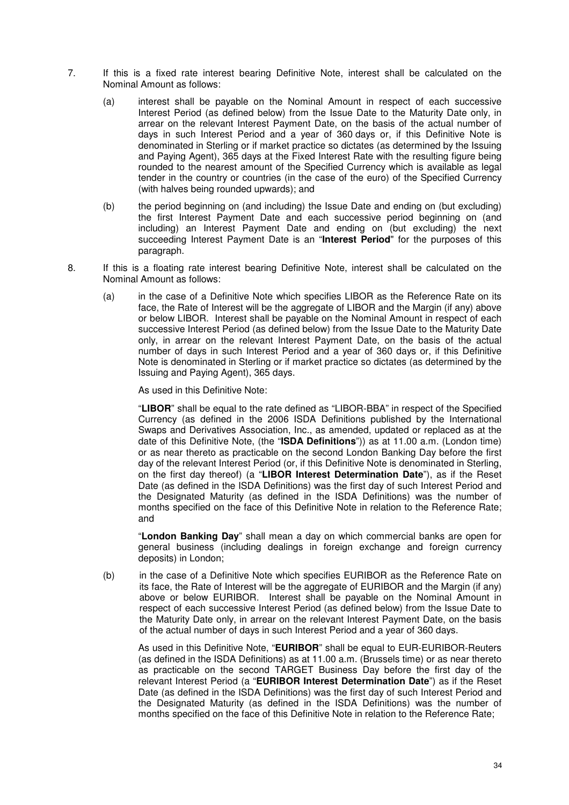- 7. If this is a fixed rate interest bearing Definitive Note, interest shall be calculated on the Nominal Amount as follows:
	- (a) interest shall be payable on the Nominal Amount in respect of each successive Interest Period (as defined below) from the Issue Date to the Maturity Date only, in arrear on the relevant Interest Payment Date, on the basis of the actual number of days in such Interest Period and a year of 360 days or, if this Definitive Note is denominated in Sterling or if market practice so dictates (as determined by the Issuing and Paying Agent), 365 days at the Fixed Interest Rate with the resulting figure being rounded to the nearest amount of the Specified Currency which is available as legal tender in the country or countries (in the case of the euro) of the Specified Currency (with halves being rounded upwards); and
	- (b) the period beginning on (and including) the Issue Date and ending on (but excluding) the first Interest Payment Date and each successive period beginning on (and including) an Interest Payment Date and ending on (but excluding) the next succeeding Interest Payment Date is an "**Interest Period**" for the purposes of this paragraph.
- 8. If this is a floating rate interest bearing Definitive Note, interest shall be calculated on the Nominal Amount as follows:
	- (a) in the case of a Definitive Note which specifies LIBOR as the Reference Rate on its face, the Rate of Interest will be the aggregate of LIBOR and the Margin (if any) above or below LIBOR. Interest shall be payable on the Nominal Amount in respect of each successive Interest Period (as defined below) from the Issue Date to the Maturity Date only, in arrear on the relevant Interest Payment Date, on the basis of the actual number of days in such Interest Period and a year of 360 days or, if this Definitive Note is denominated in Sterling or if market practice so dictates (as determined by the Issuing and Paying Agent), 365 days.

As used in this Definitive Note:

"**LIBOR**" shall be equal to the rate defined as "LIBOR-BBA" in respect of the Specified Currency (as defined in the 2006 ISDA Definitions published by the International Swaps and Derivatives Association, Inc., as amended, updated or replaced as at the date of this Definitive Note, (the "**ISDA Definitions**")) as at 11.00 a.m. (London time) or as near thereto as practicable on the second London Banking Day before the first day of the relevant Interest Period (or, if this Definitive Note is denominated in Sterling, on the first day thereof) (a "**LIBOR Interest Determination Date**"), as if the Reset Date (as defined in the ISDA Definitions) was the first day of such Interest Period and the Designated Maturity (as defined in the ISDA Definitions) was the number of months specified on the face of this Definitive Note in relation to the Reference Rate; and

"**London Banking Day**" shall mean a day on which commercial banks are open for general business (including dealings in foreign exchange and foreign currency deposits) in London;

(b) in the case of a Definitive Note which specifies EURIBOR as the Reference Rate on its face, the Rate of Interest will be the aggregate of EURIBOR and the Margin (if any) above or below EURIBOR. Interest shall be payable on the Nominal Amount in respect of each successive Interest Period (as defined below) from the Issue Date to the Maturity Date only, in arrear on the relevant Interest Payment Date, on the basis of the actual number of days in such Interest Period and a year of 360 days.

As used in this Definitive Note, "**EURIBOR**" shall be equal to EUR-EURIBOR-Reuters (as defined in the ISDA Definitions) as at 11.00 a.m. (Brussels time) or as near thereto as practicable on the second TARGET Business Day before the first day of the relevant Interest Period (a "**EURIBOR Interest Determination Date**") as if the Reset Date (as defined in the ISDA Definitions) was the first day of such Interest Period and the Designated Maturity (as defined in the ISDA Definitions) was the number of months specified on the face of this Definitive Note in relation to the Reference Rate;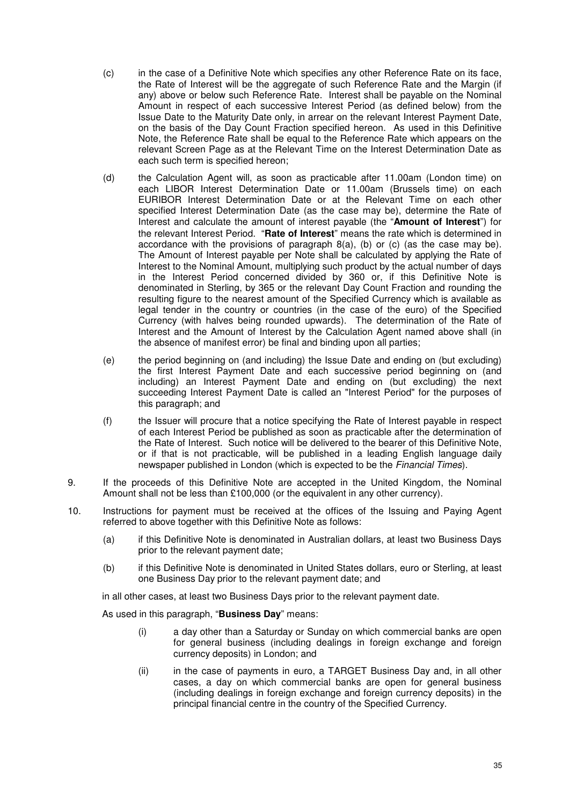- (c) in the case of a Definitive Note which specifies any other Reference Rate on its face, the Rate of Interest will be the aggregate of such Reference Rate and the Margin (if any) above or below such Reference Rate. Interest shall be payable on the Nominal Amount in respect of each successive Interest Period (as defined below) from the Issue Date to the Maturity Date only, in arrear on the relevant Interest Payment Date, on the basis of the Day Count Fraction specified hereon. As used in this Definitive Note, the Reference Rate shall be equal to the Reference Rate which appears on the relevant Screen Page as at the Relevant Time on the Interest Determination Date as each such term is specified hereon;
- (d) the Calculation Agent will, as soon as practicable after 11.00am (London time) on each LIBOR Interest Determination Date or 11.00am (Brussels time) on each EURIBOR Interest Determination Date or at the Relevant Time on each other specified Interest Determination Date (as the case may be), determine the Rate of Interest and calculate the amount of interest payable (the "**Amount of Interest**") for the relevant Interest Period. "**Rate of Interest**" means the rate which is determined in accordance with the provisions of paragraph  $8(a)$ , (b) or (c) (as the case may be). The Amount of Interest payable per Note shall be calculated by applying the Rate of Interest to the Nominal Amount, multiplying such product by the actual number of days in the Interest Period concerned divided by 360 or, if this Definitive Note is denominated in Sterling, by 365 or the relevant Day Count Fraction and rounding the resulting figure to the nearest amount of the Specified Currency which is available as legal tender in the country or countries (in the case of the euro) of the Specified Currency (with halves being rounded upwards). The determination of the Rate of Interest and the Amount of Interest by the Calculation Agent named above shall (in the absence of manifest error) be final and binding upon all parties;
- (e) the period beginning on (and including) the Issue Date and ending on (but excluding) the first Interest Payment Date and each successive period beginning on (and including) an Interest Payment Date and ending on (but excluding) the next succeeding Interest Payment Date is called an "Interest Period" for the purposes of this paragraph; and
- (f) the Issuer will procure that a notice specifying the Rate of Interest payable in respect of each Interest Period be published as soon as practicable after the determination of the Rate of Interest. Such notice will be delivered to the bearer of this Definitive Note, or if that is not practicable, will be published in a leading English language daily newspaper published in London (which is expected to be the *Financial Times*).
- 9. If the proceeds of this Definitive Note are accepted in the United Kingdom, the Nominal Amount shall not be less than £100,000 (or the equivalent in any other currency).
- 10. Instructions for payment must be received at the offices of the Issuing and Paying Agent referred to above together with this Definitive Note as follows:
	- (a) if this Definitive Note is denominated in Australian dollars, at least two Business Days prior to the relevant payment date;
	- (b) if this Definitive Note is denominated in United States dollars, euro or Sterling, at least one Business Day prior to the relevant payment date; and

in all other cases, at least two Business Days prior to the relevant payment date.

As used in this paragraph, "**Business Day**" means:

- (i) a day other than a Saturday or Sunday on which commercial banks are open for general business (including dealings in foreign exchange and foreign currency deposits) in London; and
- (ii) in the case of payments in euro, a TARGET Business Day and, in all other cases, a day on which commercial banks are open for general business (including dealings in foreign exchange and foreign currency deposits) in the principal financial centre in the country of the Specified Currency.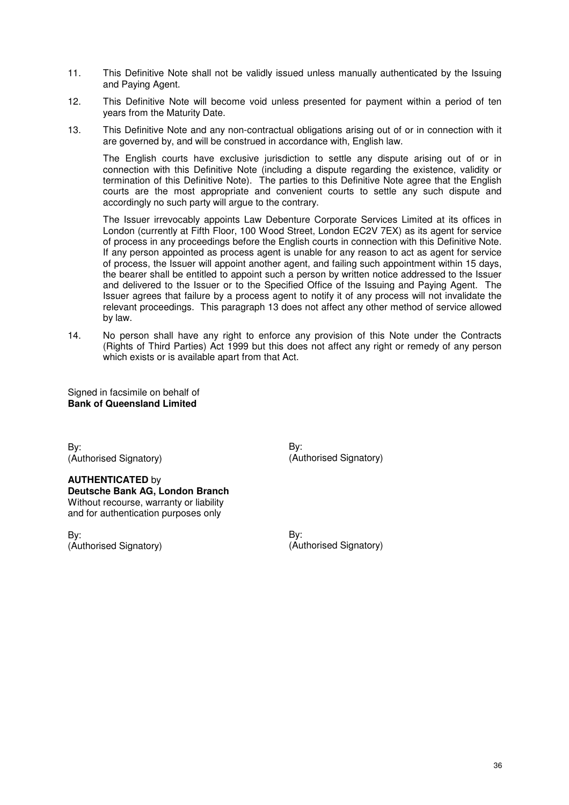- 11. This Definitive Note shall not be validly issued unless manually authenticated by the Issuing and Paying Agent.
- 12. This Definitive Note will become void unless presented for payment within a period of ten years from the Maturity Date.
- 13. This Definitive Note and any non-contractual obligations arising out of or in connection with it are governed by, and will be construed in accordance with, English law.

The English courts have exclusive jurisdiction to settle any dispute arising out of or in connection with this Definitive Note (including a dispute regarding the existence, validity or termination of this Definitive Note). The parties to this Definitive Note agree that the English courts are the most appropriate and convenient courts to settle any such dispute and accordingly no such party will argue to the contrary.

The Issuer irrevocably appoints Law Debenture Corporate Services Limited at its offices in London (currently at Fifth Floor, 100 Wood Street, London EC2V 7EX) as its agent for service of process in any proceedings before the English courts in connection with this Definitive Note. If any person appointed as process agent is unable for any reason to act as agent for service of process, the Issuer will appoint another agent, and failing such appointment within 15 days, the bearer shall be entitled to appoint such a person by written notice addressed to the Issuer and delivered to the Issuer or to the Specified Office of the Issuing and Paying Agent. The Issuer agrees that failure by a process agent to notify it of any process will not invalidate the relevant proceedings. This paragraph 13 does not affect any other method of service allowed by law.

14. No person shall have any right to enforce any provision of this Note under the Contracts (Rights of Third Parties) Act 1999 but this does not affect any right or remedy of any person which exists or is available apart from that Act.

Signed in facsimile on behalf of **Bank of Queensland Limited** 

By: (Authorised Signatory)

**AUTHENTICATED** by **Deutsche Bank AG, London Branch**  Without recourse, warranty or liability and for authentication purposes only

By: (Authorised Signatory) By: (Authorised Signatory)

By: (Authorised Signatory)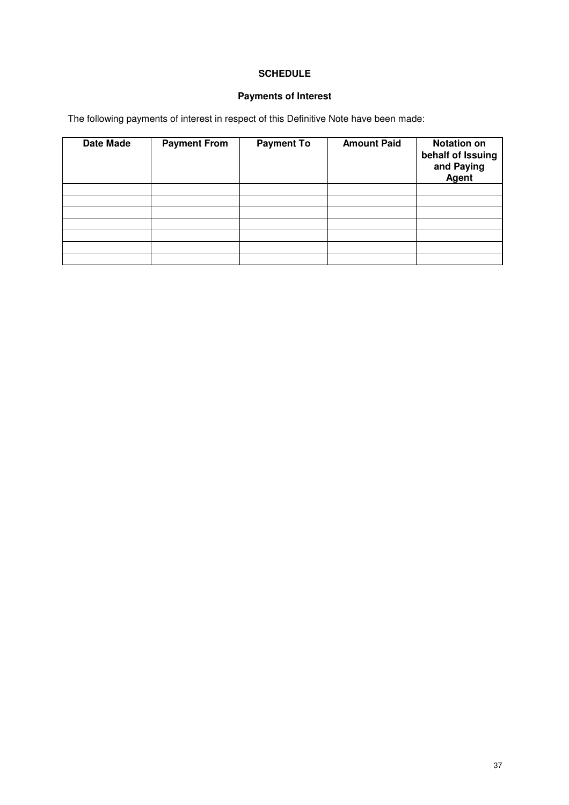## **SCHEDULE**

## **Payments of Interest**

The following payments of interest in respect of this Definitive Note have been made:

| <b>Date Made</b> | <b>Payment From</b> | <b>Payment To</b> | <b>Amount Paid</b> | <b>Notation on</b><br>behalf of Issuing<br>and Paying<br>Agent |
|------------------|---------------------|-------------------|--------------------|----------------------------------------------------------------|
|                  |                     |                   |                    |                                                                |
|                  |                     |                   |                    |                                                                |
|                  |                     |                   |                    |                                                                |
|                  |                     |                   |                    |                                                                |
|                  |                     |                   |                    |                                                                |
|                  |                     |                   |                    |                                                                |
|                  |                     |                   |                    |                                                                |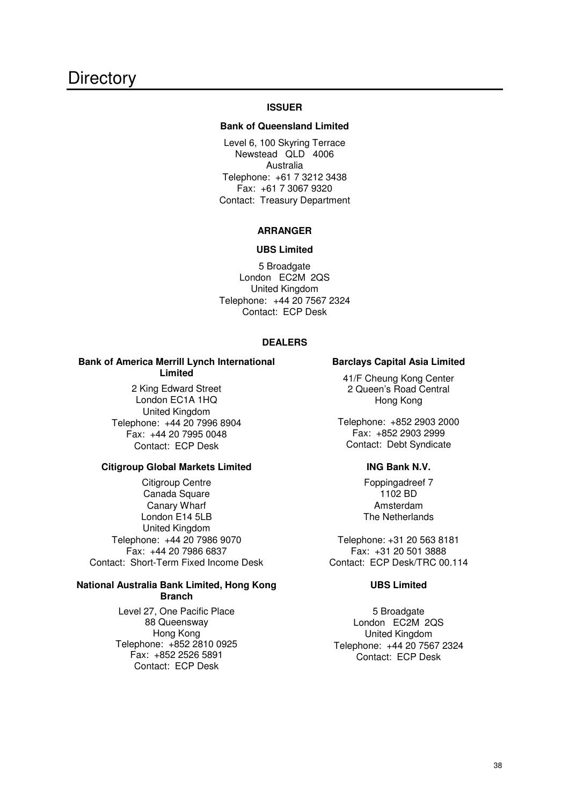#### **ISSUER**

#### **Bank of Queensland Limited**

Level 6, 100 Skyring Terrace Newstead QLD 4006 Australia Telephone: +61 7 3212 3438 Fax: +61 7 3067 9320 Contact: Treasury Department

#### **ARRANGER**

#### **UBS Limited**

5 Broadgate London EC2M 2QS United Kingdom Telephone: +44 20 7567 2324 Contact: ECP Desk

#### **DEALERS**

### **Bank of America Merrill Lynch International Limited**

2 King Edward Street London EC1A 1HQ United Kingdom Telephone: +44 20 7996 8904 Fax: +44 20 7995 0048 Contact: ECP Desk

## **Citigroup Global Markets Limited**

Citigroup Centre Canada Square Canary Wharf London E14 5LB United Kingdom Telephone: +44 20 7986 9070 Fax: +44 20 7986 6837 Contact: Short-Term Fixed Income Desk

#### **National Australia Bank Limited, Hong Kong Branch**

Level 27, One Pacific Place 88 Queensway Hong Kong Telephone: +852 2810 0925 Fax: +852 2526 5891 Contact: ECP Desk

#### **Barclays Capital Asia Limited**

41/F Cheung Kong Center 2 Queen's Road Central Hong Kong

Telephone: +852 2903 2000 Fax: +852 2903 2999 Contact: Debt Syndicate

#### **ING Bank N.V.**

Foppingadreef 7 1102 BD Amsterdam The Netherlands

Telephone: +31 20 563 8181 Fax: +31 20 501 3888 Contact: ECP Desk/TRC 00.114

#### **UBS Limited**

5 Broadgate London EC2M 2QS United Kingdom Telephone: +44 20 7567 2324 Contact: ECP Desk